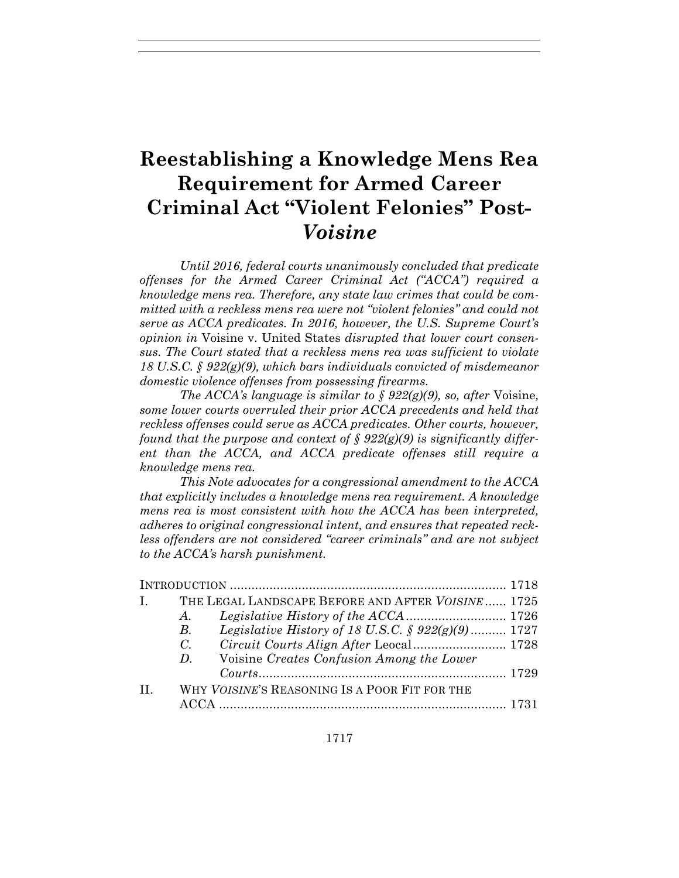# **Reestablishing a Knowledge Mens Rea Requirement for Armed Career Criminal Act "Violent Felonies" Post-***Voisine*

*Until 2016, federal courts unanimously concluded that predicate offenses for the Armed Career Criminal Act ("ACCA") required a knowledge mens rea. Therefore, any state law crimes that could be committed with a reckless mens rea were not "violent felonies" and could not serve as ACCA predicates. In 2016, however, the U.S. Supreme Court's opinion in* Voisine v. United States *disrupted that lower court consensus. The Court stated that a reckless mens rea was sufficient to violate 18 U.S.C. § 922(g)(9), which bars individuals convicted of misdemeanor domestic violence offenses from possessing firearms.* 

*The ACCA's language is similar to*  $\delta$  *922(g)(9), so, after Voisine. some lower courts overruled their prior ACCA precedents and held that reckless offenses could serve as ACCA predicates. Other courts, however, found that the purpose and context of § 922(g)(9) is significantly different than the ACCA, and ACCA predicate offenses still require a knowledge mens rea.* 

*This Note advocates for a congressional amendment to the ACCA that explicitly includes a knowledge mens rea requirement. A knowledge mens rea is most consistent with how the ACCA has been interpreted, adheres to original congressional intent, and ensures that repeated reckless offenders are not considered "career criminals" and are not subject to the ACCA's harsh punishment.* 

| $\mathbf{I}$ . |             | THE LEGAL LANDSCAPE BEFORE AND AFTER VOISINE 1725              |  |
|----------------|-------------|----------------------------------------------------------------|--|
|                | A.          |                                                                |  |
|                | В.          | <i>Legislative History of 18 U.S.C.</i> $\oint 922(g)(9)$ 1727 |  |
|                | $C_{\cdot}$ |                                                                |  |
|                | D.          | Voisine Creates Confusion Among the Lower                      |  |
|                |             | $Country \, 1729$                                              |  |
| $\mathbf{H}$   |             | WHY VOISINE'S REASONING IS A POOR FIT FOR THE                  |  |
|                |             |                                                                |  |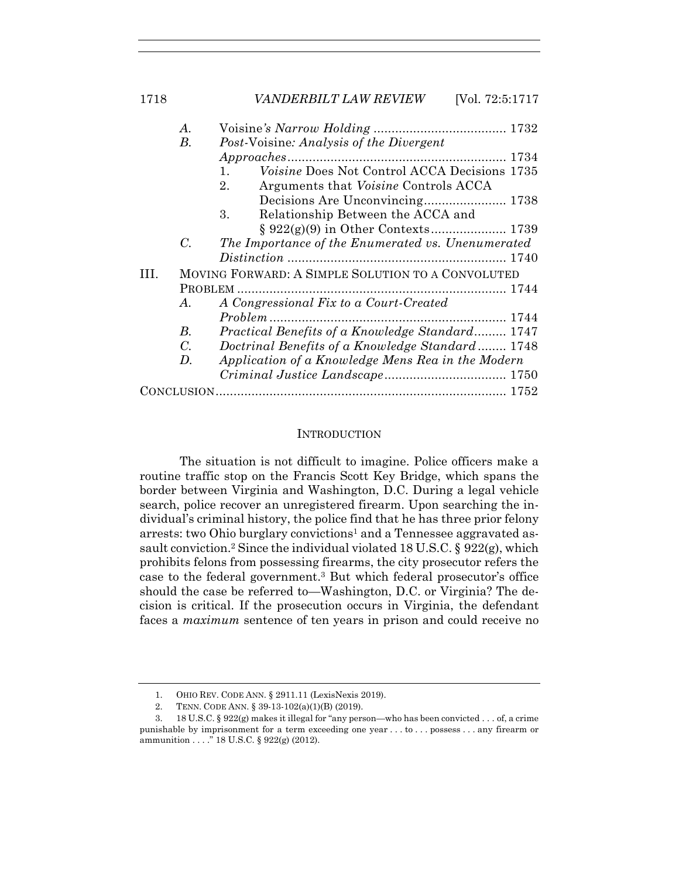|     | A.          |                                                                |  |
|-----|-------------|----------------------------------------------------------------|--|
|     | В.          | <i>Post-Voisine: Analysis of the Divergent</i>                 |  |
|     |             |                                                                |  |
|     |             | Voisine Does Not Control ACCA Decisions 1735<br>$\mathbf{1}$ . |  |
|     |             | Arguments that <i>Voisine</i> Controls ACCA<br>$2_{\cdot}$     |  |
|     |             |                                                                |  |
|     |             | 3.<br>Relationship Between the ACCA and                        |  |
|     |             |                                                                |  |
|     | $C_{\cdot}$ | The Importance of the Enumerated vs. Unenumerated              |  |
|     |             |                                                                |  |
| HL. |             | MOVING FORWARD: A SIMPLE SOLUTION TO A CONVOLUTED              |  |
|     |             |                                                                |  |
|     | A.          | A Congressional Fix to a Court-Created                         |  |
|     |             |                                                                |  |
|     | В.          | Practical Benefits of a Knowledge Standard 1747                |  |
|     | $C_{\cdot}$ | Doctrinal Benefits of a Knowledge Standard 1748                |  |
|     | D.          | Application of a Knowledge Mens Rea in the Modern              |  |
|     |             |                                                                |  |
|     |             |                                                                |  |
|     |             |                                                                |  |

## **INTRODUCTION**

The situation is not difficult to imagine. Police officers make a routine traffic stop on the Francis Scott Key Bridge, which spans the border between Virginia and Washington, D.C. During a legal vehicle search, police recover an unregistered firearm. Upon searching the individual's criminal history, the police find that he has three prior felony arrests: two Ohio burglary convictions<sup>1</sup> and a Tennessee aggravated assault conviction.<sup>2</sup> Since the individual violated 18 U.S.C. §  $922(g)$ , which prohibits felons from possessing firearms, the city prosecutor refers the case to the federal government.3 But which federal prosecutor's office should the case be referred to—Washington, D.C. or Virginia? The decision is critical. If the prosecution occurs in Virginia, the defendant faces a *maximum* sentence of ten years in prison and could receive no

 <sup>1.</sup> OHIO REV. CODE ANN. § 2911.11 (LexisNexis 2019).

 <sup>2.</sup> TENN. CODE ANN. § 39-13-102(a)(1)(B) (2019).

 <sup>3. 18</sup> U.S.C. § 922(g) makes it illegal for "any person—who has been convicted . . . of, a crime punishable by imprisonment for a term exceeding one year . . . to . . . possess . . . any firearm or ammunition . . . ." 18 U.S.C. § 922(g) (2012).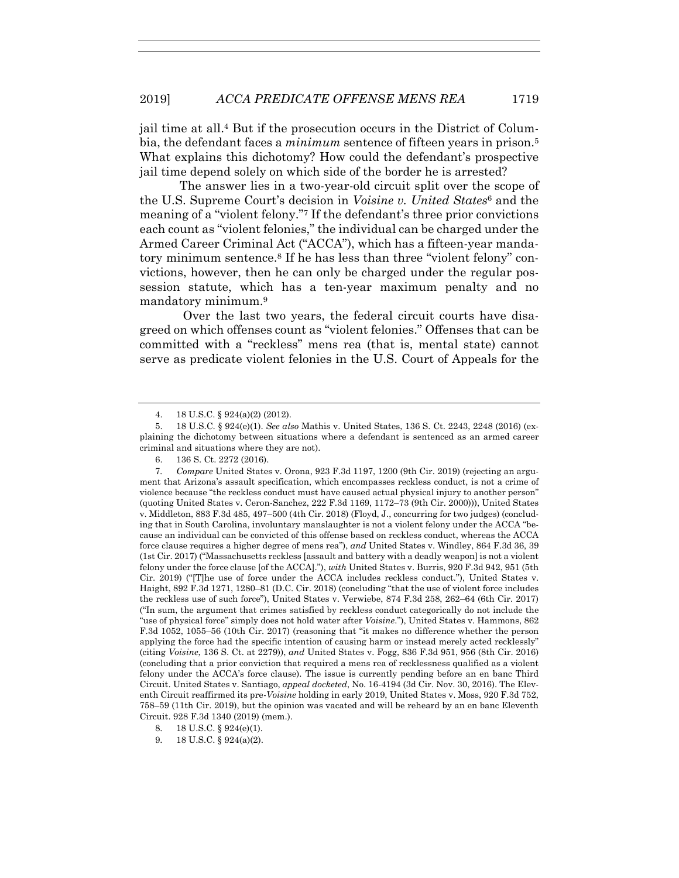jail time at all.4 But if the prosecution occurs in the District of Columbia, the defendant faces a *minimum* sentence of fifteen years in prison.5 What explains this dichotomy? How could the defendant's prospective jail time depend solely on which side of the border he is arrested?

The answer lies in a two-year-old circuit split over the scope of the U.S. Supreme Court's decision in *Voisine v. United States*6 and the meaning of a "violent felony."7 If the defendant's three prior convictions each count as "violent felonies," the individual can be charged under the Armed Career Criminal Act ("ACCA"), which has a fifteen-year mandatory minimum sentence.8 If he has less than three "violent felony" convictions, however, then he can only be charged under the regular possession statute, which has a ten-year maximum penalty and no mandatory minimum.9

 Over the last two years, the federal circuit courts have disagreed on which offenses count as "violent felonies." Offenses that can be committed with a "reckless" mens rea (that is, mental state) cannot serve as predicate violent felonies in the U.S. Court of Appeals for the

 <sup>4. 18</sup> U.S.C. § 924(a)(2) (2012).

 <sup>5. 18</sup> U.S.C. § 924(e)(1). *See also* Mathis v. United States, 136 S. Ct. 2243, 2248 (2016) (explaining the dichotomy between situations where a defendant is sentenced as an armed career criminal and situations where they are not).

 <sup>6. 136</sup> S. Ct. 2272 (2016).

<sup>7</sup>*. Compare* United States v. Orona, 923 F.3d 1197, 1200 (9th Cir. 2019) (rejecting an argument that Arizona's assault specification, which encompasses reckless conduct, is not a crime of violence because "the reckless conduct must have caused actual physical injury to another person" (quoting United States v. Ceron-Sanchez, 222 F.3d 1169, 1172–73 (9th Cir. 2000))), United States v. Middleton, 883 F.3d 485, 497–500 (4th Cir. 2018) (Floyd, J., concurring for two judges) (concluding that in South Carolina, involuntary manslaughter is not a violent felony under the ACCA "because an individual can be convicted of this offense based on reckless conduct, whereas the ACCA force clause requires a higher degree of mens rea"), *and* United States v. Windley, 864 F.3d 36, 39 (1st Cir. 2017) ("Massachusetts reckless [assault and battery with a deadly weapon] is not a violent felony under the force clause [of the ACCA]."), *with* United States v. Burris, 920 F.3d 942, 951 (5th Cir. 2019) ("[T]he use of force under the ACCA includes reckless conduct."), United States v. Haight, 892 F.3d 1271, 1280–81 (D.C. Cir. 2018) (concluding "that the use of violent force includes the reckless use of such force"), United States v. Verwiebe, 874 F.3d 258, 262–64 (6th Cir. 2017) ("In sum, the argument that crimes satisfied by reckless conduct categorically do not include the "use of physical force" simply does not hold water after *Voisine*."), United States v. Hammons, 862 F.3d 1052, 1055–56 (10th Cir. 2017) (reasoning that "it makes no difference whether the person applying the force had the specific intention of causing harm or instead merely acted recklessly" (citing *Voisine*, 136 S. Ct. at 2279)), *and* United States v. Fogg, 836 F.3d 951, 956 (8th Cir. 2016) (concluding that a prior conviction that required a mens rea of recklessness qualified as a violent felony under the ACCA's force clause). The issue is currently pending before an en banc Third Circuit. United States v. Santiago, *appeal docketed*, No. 16-4194 (3d Cir. Nov. 30, 2016). The Eleventh Circuit reaffirmed its pre-*Voisine* holding in early 2019, United States v. Moss, 920 F.3d 752, 758–59 (11th Cir. 2019), but the opinion was vacated and will be reheard by an en banc Eleventh Circuit. 928 F.3d 1340 (2019) (mem.).

 <sup>8. 18</sup> U.S.C. § 924(e)(1).

 <sup>9. 18</sup> U.S.C. § 924(a)(2).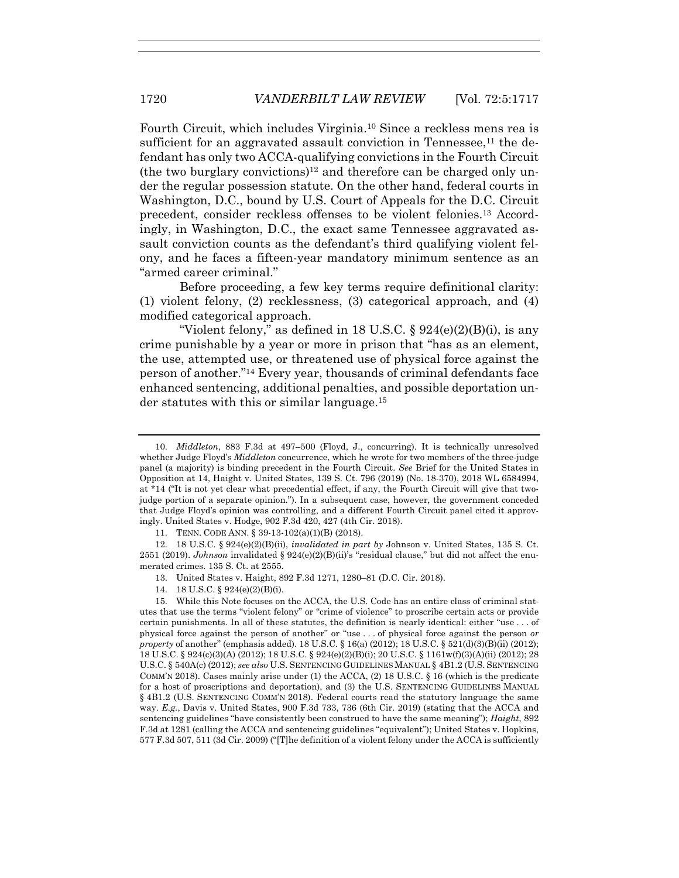Fourth Circuit, which includes Virginia.10 Since a reckless mens rea is sufficient for an aggravated assault conviction in Tennessee, $^{11}$  the defendant has only two ACCA-qualifying convictions in the Fourth Circuit (the two burglary convictions)<sup>12</sup> and therefore can be charged only under the regular possession statute. On the other hand, federal courts in Washington, D.C., bound by U.S. Court of Appeals for the D.C. Circuit precedent, consider reckless offenses to be violent felonies.13 Accordingly, in Washington, D.C., the exact same Tennessee aggravated assault conviction counts as the defendant's third qualifying violent felony, and he faces a fifteen-year mandatory minimum sentence as an "armed career criminal."

Before proceeding, a few key terms require definitional clarity: (1) violent felony, (2) recklessness, (3) categorical approach, and (4) modified categorical approach.

"Violent felony," as defined in 18 U.S.C.  $\S 924(e)(2)(B)(i)$ , is any crime punishable by a year or more in prison that "has as an element, the use, attempted use, or threatened use of physical force against the person of another."14 Every year, thousands of criminal defendants face enhanced sentencing, additional penalties, and possible deportation under statutes with this or similar language.15

14. 18 U.S.C. § 924(e)(2)(B)(i).

 <sup>10.</sup> *Middleton*, 883 F.3d at 497–500 (Floyd, J., concurring). It is technically unresolved whether Judge Floyd's *Middleton* concurrence, which he wrote for two members of the three-judge panel (a majority) is binding precedent in the Fourth Circuit. *See* Brief for the United States in Opposition at 14, Haight v. United States, 139 S. Ct. 796 (2019) (No. 18-370), 2018 WL 6584994, at \*14 ("It is not yet clear what precedential effect, if any, the Fourth Circuit will give that twojudge portion of a separate opinion."). In a subsequent case, however, the government conceded that Judge Floyd's opinion was controlling, and a different Fourth Circuit panel cited it approvingly. United States v. Hodge, 902 F.3d 420, 427 (4th Cir. 2018).

 <sup>11.</sup> TENN. CODE ANN. § 39-13-102(a)(1)(B) (2018).

 <sup>12. 18</sup> U.S.C. § 924(e)(2)(B)(ii), *invalidated in part by* Johnson v. United States, 135 S. Ct. 2551 (2019). *Johnson* invalidated § 924(e)(2)(B)(ii)'s "residual clause," but did not affect the enumerated crimes. 135 S. Ct. at 2555.

 <sup>13.</sup> United States v. Haight, 892 F.3d 1271, 1280–81 (D.C. Cir. 2018).

 <sup>15.</sup> While this Note focuses on the ACCA, the U.S. Code has an entire class of criminal statutes that use the terms "violent felony" or "crime of violence" to proscribe certain acts or provide certain punishments. In all of these statutes, the definition is nearly identical: either "use . . . of physical force against the person of another" or "use . . . of physical force against the person *or property* of another" (emphasis added). 18 U.S.C. § 16(a) (2012); 18 U.S.C. § 521(d)(3)(B)(ii) (2012); 18 U.S.C. § 924(c)(3)(A) (2012); 18 U.S.C. § 924(e)(2)(B)(i); 20 U.S.C. § 1161w(f)(3)(A)(ii) (2012); 28 U.S.C. § 540A(c) (2012); *see also* U.S. SENTENCING GUIDELINES MANUAL § 4B1.2 (U.S. SENTENCING COMM'N 2018). Cases mainly arise under (1) the ACCA, (2) 18 U.S.C. § 16 (which is the predicate for a host of proscriptions and deportation), and (3) the U.S. SENTENCING GUIDELINES MANUAL § 4B1.2 (U.S. SENTENCING COMM'N 2018). Federal courts read the statutory language the same way. *E.g.*, Davis v. United States, 900 F.3d 733, 736 (6th Cir. 2019) (stating that the ACCA and sentencing guidelines "have consistently been construed to have the same meaning"); *Haight*, 892 F.3d at 1281 (calling the ACCA and sentencing guidelines "equivalent"); United States v. Hopkins, 577 F.3d 507, 511 (3d Cir. 2009) ("[T]he definition of a violent felony under the ACCA is sufficiently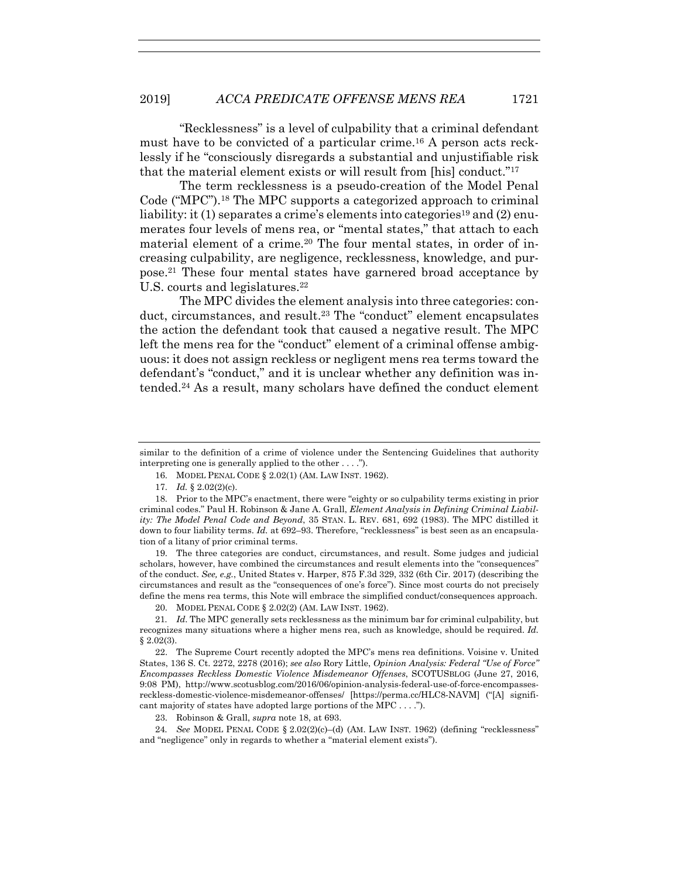"Recklessness" is a level of culpability that a criminal defendant must have to be convicted of a particular crime.16 A person acts recklessly if he "consciously disregards a substantial and unjustifiable risk that the material element exists or will result from [his] conduct."17

The term recklessness is a pseudo-creation of the Model Penal Code ("MPC").18 The MPC supports a categorized approach to criminal liability: it (1) separates a crime's elements into categories<sup>19</sup> and (2) enumerates four levels of mens rea, or "mental states," that attach to each material element of a crime.20 The four mental states, in order of increasing culpability, are negligence, recklessness, knowledge, and purpose.21 These four mental states have garnered broad acceptance by U.S. courts and legislatures.<sup>22</sup>

The MPC divides the element analysis into three categories: conduct, circumstances, and result.<sup>23</sup> The "conduct" element encapsulates the action the defendant took that caused a negative result. The MPC left the mens rea for the "conduct" element of a criminal offense ambiguous: it does not assign reckless or negligent mens rea terms toward the defendant's "conduct," and it is unclear whether any definition was intended.24 As a result, many scholars have defined the conduct element

 19. The three categories are conduct, circumstances, and result. Some judges and judicial scholars, however, have combined the circumstances and result elements into the "consequences" of the conduct. *See, e.g.*, United States v. Harper, 875 F.3d 329, 332 (6th Cir. 2017) (describing the circumstances and result as the "consequences of one's force"). Since most courts do not precisely define the mens rea terms, this Note will embrace the simplified conduct/consequences approach.

20. MODEL PENAL CODE § 2.02(2) (AM. LAW INST. 1962).

21*. Id*. The MPC generally sets recklessness as the minimum bar for criminal culpability, but recognizes many situations where a higher mens rea, such as knowledge, should be required. *Id.*   $§ 2.02(3).$ 

 22. The Supreme Court recently adopted the MPC's mens rea definitions. Voisine v. United States, 136 S. Ct. 2272, 2278 (2016); *see also* Rory Little, *Opinion Analysis: Federal "Use of Force" Encompasses Reckless Domestic Violence Misdemeanor Offenses*, SCOTUSBLOG (June 27, 2016, 9:08 PM), http://www.scotusblog.com/2016/06/opinion-analysis-federal-use-of-force-encompassesreckless-domestic-violence-misdemeanor-offenses/ [https://perma.cc/HLC8-NAVM] ("[A] significant majority of states have adopted large portions of the MPC . . . .").

23. Robinson & Grall, *supra* note 18, at 693.

24*. See* MODEL PENAL CODE § 2.02(2)(c)–(d) (AM. LAW INST. 1962) (defining "recklessness" and "negligence" only in regards to whether a "material element exists").

similar to the definition of a crime of violence under the Sentencing Guidelines that authority interpreting one is generally applied to the other . . . .").

 <sup>16.</sup> MODEL PENAL CODE § 2.02(1) (AM. LAW INST. 1962).

 <sup>17.</sup> *Id.* § 2.02(2)(c).

 <sup>18.</sup> Prior to the MPC's enactment, there were "eighty or so culpability terms existing in prior criminal codes." Paul H. Robinson & Jane A. Grall, *Element Analysis in Defining Criminal Liability: The Model Penal Code and Beyond*, 35 STAN. L. REV. 681, 692 (1983). The MPC distilled it down to four liability terms. *Id.* at 692-93. Therefore, "recklessness" is best seen as an encapsulation of a litany of prior criminal terms.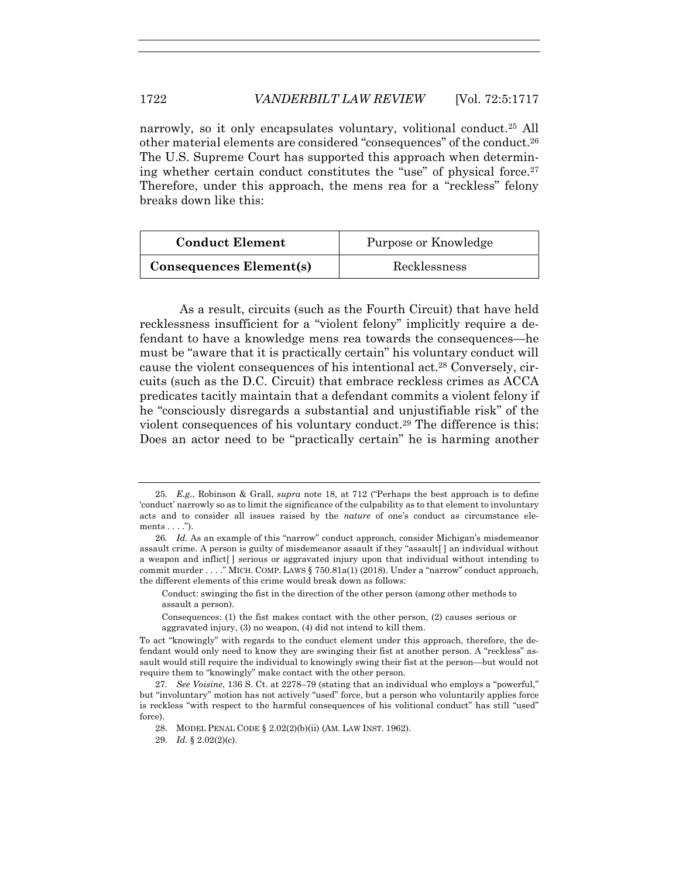narrowly, so it only encapsulates voluntary, volitional conduct.25 All other material elements are considered "consequences" of the conduct.26 The U.S. Supreme Court has supported this approach when determining whether certain conduct constitutes the "use" of physical force.<sup>27</sup> Therefore, under this approach, the mens rea for a "reckless" felony breaks down like this:

| <b>Conduct Element</b>         | Purpose or Knowledge |
|--------------------------------|----------------------|
| <b>Consequences Element(s)</b> | Recklessness         |

As a result, circuits (such as the Fourth Circuit) that have held recklessness insufficient for a "violent felony" implicitly require a defendant to have a knowledge mens rea towards the consequences—he must be "aware that it is practically certain" his voluntary conduct will cause the violent consequences of his intentional act.28 Conversely, circuits (such as the D.C. Circuit) that embrace reckless crimes as ACCA predicates tacitly maintain that a defendant commits a violent felony if he "consciously disregards a substantial and unjustifiable risk" of the violent consequences of his voluntary conduct.<sup>29</sup> The difference is this: Does an actor need to be "practically certain" he is harming another

Conduct: swinging the fist in the direction of the other person (among other methods to assault a person).

<sup>25</sup>*. E.g.*, Robinson & Grall, *supra* note 18, at 712 ("Perhaps the best approach is to define 'conduct' narrowly so as to limit the significance of the culpability as to that element to involuntary acts and to consider all issues raised by the *nature* of one's conduct as circumstance elements  $\dots$ .").

<sup>26</sup>*. Id.* As an example of this "narrow" conduct approach, consider Michigan's misdemeanor assault crime. A person is guilty of misdemeanor assault if they "assault  $\lceil$  an individual without a weapon and inflict[ ] serious or aggravated injury upon that individual without intending to commit murder . . . ." MICH. COMP. LAWS § 750.81a(1) (2018). Under a "narrow" conduct approach, the different elements of this crime would break down as follows:

Consequences: (1) the fist makes contact with the other person, (2) causes serious or aggravated injury, (3) no weapon, (4) did not intend to kill them.

To act "knowingly" with regards to the conduct element under this approach, therefore, the defendant would only need to know they are swinging their fist at another person. A "reckless" assault would still require the individual to knowingly swing their fist at the person—but would not require them to "knowingly" make contact with the other person.

<sup>27</sup>*. See Voisine*, 136 S. Ct. at 2278–79 (stating that an individual who employs a "powerful," but "involuntary" motion has not actively "used" force, but a person who voluntarily applies force is reckless "with respect to the harmful consequences of his volitional conduct" has still "used" force).

 <sup>28.</sup> MODEL PENAL CODE § 2.02(2)(b)(ii) (AM. LAW INST. 1962).

 <sup>29.</sup> *Id.* § 2.02(2)(c).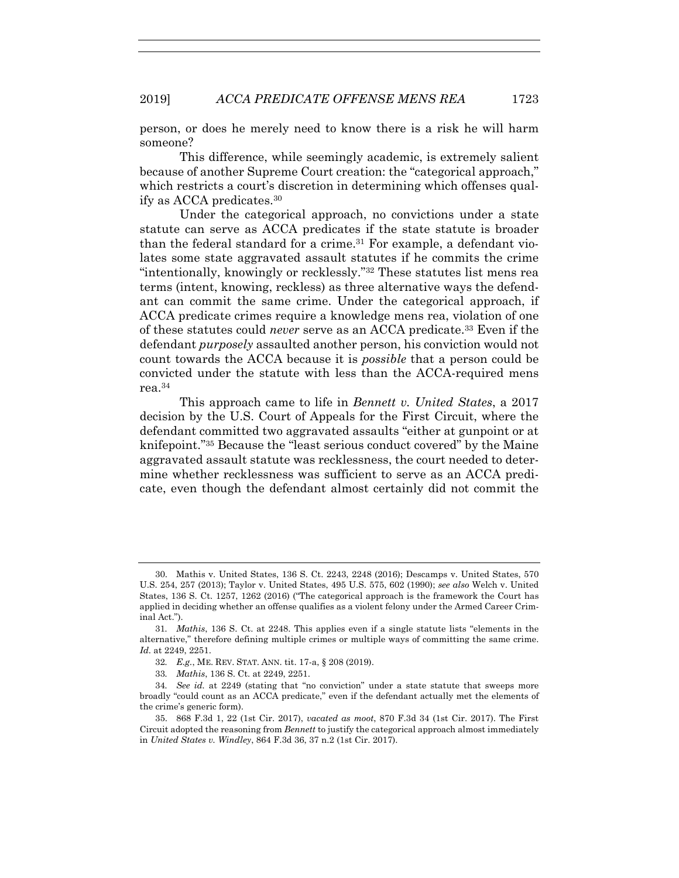person, or does he merely need to know there is a risk he will harm someone?

This difference, while seemingly academic, is extremely salient because of another Supreme Court creation: the "categorical approach," which restricts a court's discretion in determining which offenses qualify as ACCA predicates.30

Under the categorical approach, no convictions under a state statute can serve as ACCA predicates if the state statute is broader than the federal standard for a crime.<sup>31</sup> For example, a defendant violates some state aggravated assault statutes if he commits the crime "intentionally, knowingly or recklessly."32 These statutes list mens rea terms (intent, knowing, reckless) as three alternative ways the defendant can commit the same crime. Under the categorical approach, if ACCA predicate crimes require a knowledge mens rea, violation of one of these statutes could *never* serve as an ACCA predicate.33 Even if the defendant *purposely* assaulted another person, his conviction would not count towards the ACCA because it is *possible* that a person could be convicted under the statute with less than the ACCA-required mens rea.34

This approach came to life in *Bennett v. United States*, a 2017 decision by the U.S. Court of Appeals for the First Circuit, where the defendant committed two aggravated assaults "either at gunpoint or at knifepoint."35 Because the "least serious conduct covered" by the Maine aggravated assault statute was recklessness, the court needed to determine whether recklessness was sufficient to serve as an ACCA predicate, even though the defendant almost certainly did not commit the

 <sup>30.</sup> Mathis v. United States, 136 S. Ct. 2243, 2248 (2016); Descamps v. United States, 570 U.S. 254, 257 (2013); Taylor v. United States, 495 U.S. 575, 602 (1990); *see also* Welch v. United States, 136 S. Ct. 1257, 1262 (2016) ("The categorical approach is the framework the Court has applied in deciding whether an offense qualifies as a violent felony under the Armed Career Criminal Act.").

<sup>31</sup>*. Mathis*, 136 S. Ct. at 2248. This applies even if a single statute lists "elements in the alternative," therefore defining multiple crimes or multiple ways of committing the same crime. *Id*. at 2249, 2251.

<sup>32</sup>*. E.g.*, ME. REV. STAT. ANN. tit. 17-a, § 208 (2019).

<sup>33</sup>*. Mathis*, 136 S. Ct. at 2249, 2251.

<sup>34</sup>*. See id.* at 2249 (stating that "no conviction" under a state statute that sweeps more broadly "could count as an ACCA predicate," even if the defendant actually met the elements of the crime's generic form).

 <sup>35. 868</sup> F.3d 1, 22 (1st Cir. 2017), *vacated as moot*, 870 F.3d 34 (1st Cir. 2017). The First Circuit adopted the reasoning from *Bennett* to justify the categorical approach almost immediately in *United States v. Windley*, 864 F.3d 36, 37 n.2 (1st Cir. 2017).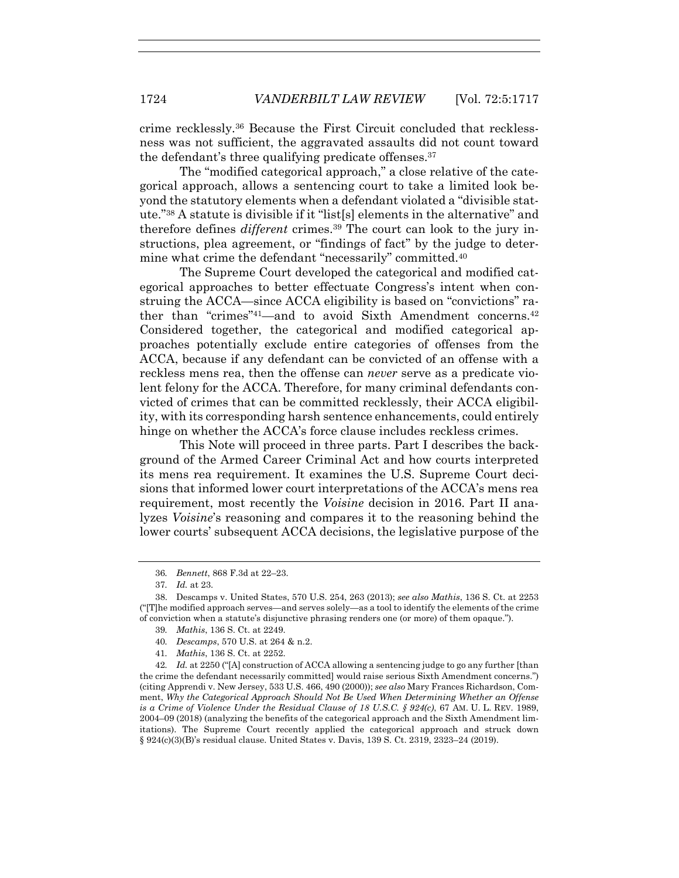crime recklessly.36 Because the First Circuit concluded that recklessness was not sufficient, the aggravated assaults did not count toward the defendant's three qualifying predicate offenses.<sup>37</sup>

The "modified categorical approach," a close relative of the categorical approach, allows a sentencing court to take a limited look beyond the statutory elements when a defendant violated a "divisible statute."38 A statute is divisible if it "list[s] elements in the alternative" and therefore defines *different* crimes.39 The court can look to the jury instructions, plea agreement, or "findings of fact" by the judge to determine what crime the defendant "necessarily" committed.40

The Supreme Court developed the categorical and modified categorical approaches to better effectuate Congress's intent when construing the ACCA—since ACCA eligibility is based on "convictions" rather than "crimes"41—and to avoid Sixth Amendment concerns.42 Considered together, the categorical and modified categorical approaches potentially exclude entire categories of offenses from the ACCA, because if any defendant can be convicted of an offense with a reckless mens rea, then the offense can *never* serve as a predicate violent felony for the ACCA. Therefore, for many criminal defendants convicted of crimes that can be committed recklessly, their ACCA eligibility, with its corresponding harsh sentence enhancements, could entirely hinge on whether the ACCA's force clause includes reckless crimes.

This Note will proceed in three parts. Part I describes the background of the Armed Career Criminal Act and how courts interpreted its mens rea requirement. It examines the U.S. Supreme Court decisions that informed lower court interpretations of the ACCA's mens rea requirement, most recently the *Voisine* decision in 2016. Part II analyzes *Voisine*'s reasoning and compares it to the reasoning behind the lower courts' subsequent ACCA decisions, the legislative purpose of the

- 39*. Mathis*, 136 S. Ct. at 2249.
- 40*. Descamps*, 570 U.S. at 264 & n.2.
- 41*. Mathis*, 136 S. Ct. at 2252.

42*. Id.* at 2250 ("[A] construction of ACCA allowing a sentencing judge to go any further [than the crime the defendant necessarily committed] would raise serious Sixth Amendment concerns.") (citing Apprendi v. New Jersey, 533 U.S. 466, 490 (2000)); *see also* Mary Frances Richardson, Comment, *Why the Categorical Approach Should Not Be Used When Determining Whether an Offense is a Crime of Violence Under the Residual Clause of 18 U.S.C. § 924(c)*, 67 AM. U. L. REV. 1989, 2004–09 (2018) (analyzing the benefits of the categorical approach and the Sixth Amendment limitations). The Supreme Court recently applied the categorical approach and struck down § 924(c)(3)(B)'s residual clause. United States v. Davis, 139 S. Ct. 2319, 2323–24 (2019).

<sup>36</sup>*. Bennett*, 868 F.3d at 22–23.

<sup>37</sup>*. Id.* at 23.

 <sup>38.</sup> Descamps v. United States, 570 U.S. 254, 263 (2013); *see also Mathis*, 136 S. Ct. at 2253 ("[T]he modified approach serves—and serves solely—as a tool to identify the elements of the crime of conviction when a statute's disjunctive phrasing renders one (or more) of them opaque.").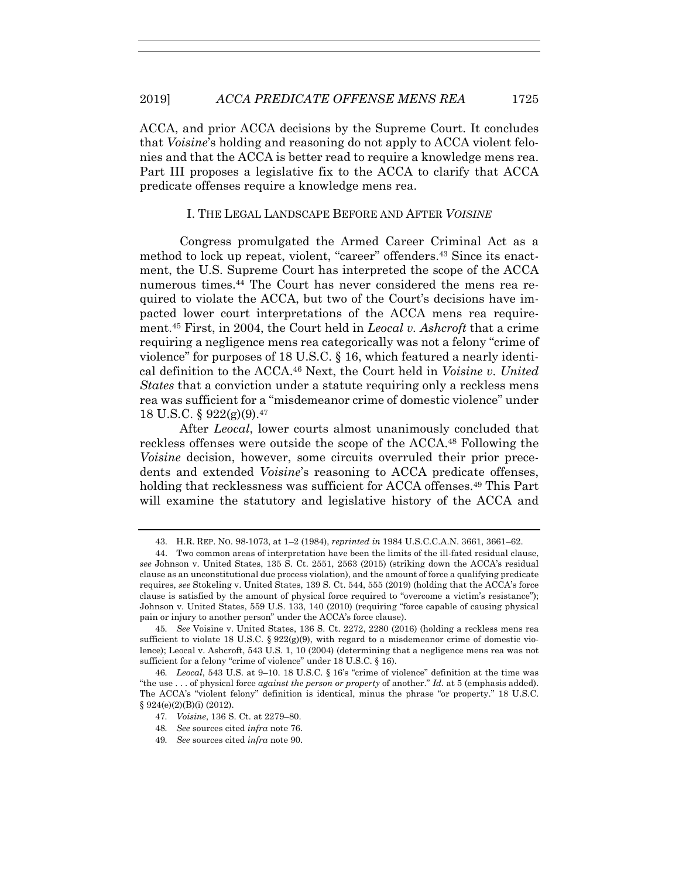ACCA, and prior ACCA decisions by the Supreme Court. It concludes that *Voisine*'s holding and reasoning do not apply to ACCA violent felonies and that the ACCA is better read to require a knowledge mens rea. Part III proposes a legislative fix to the ACCA to clarify that ACCA predicate offenses require a knowledge mens rea.

## I. THE LEGAL LANDSCAPE BEFORE AND AFTER *VOISINE*

Congress promulgated the Armed Career Criminal Act as a method to lock up repeat, violent, "career" offenders.43 Since its enactment, the U.S. Supreme Court has interpreted the scope of the ACCA numerous times.44 The Court has never considered the mens rea required to violate the ACCA, but two of the Court's decisions have impacted lower court interpretations of the ACCA mens rea requirement.45 First, in 2004, the Court held in *Leocal v. Ashcroft* that a crime requiring a negligence mens rea categorically was not a felony "crime of violence" for purposes of 18 U.S.C. § 16, which featured a nearly identical definition to the ACCA.46 Next, the Court held in *Voisine v. United States* that a conviction under a statute requiring only a reckless mens rea was sufficient for a "misdemeanor crime of domestic violence" under 18 U.S.C. § 922(g)(9).47

After *Leocal*, lower courts almost unanimously concluded that reckless offenses were outside the scope of the ACCA.<sup>48</sup> Following the *Voisine* decision, however, some circuits overruled their prior precedents and extended *Voisine*'s reasoning to ACCA predicate offenses, holding that recklessness was sufficient for ACCA offenses.<sup>49</sup> This Part will examine the statutory and legislative history of the ACCA and

 <sup>43.</sup> H.R. REP. NO. 98-1073, at 1–2 (1984), *reprinted in* 1984 U.S.C.C.A.N. 3661, 3661–62.

 <sup>44.</sup> Two common areas of interpretation have been the limits of the ill-fated residual clause, *see* Johnson v. United States, 135 S. Ct. 2551, 2563 (2015) (striking down the ACCA's residual clause as an unconstitutional due process violation), and the amount of force a qualifying predicate requires, *see* Stokeling v. United States, 139 S. Ct. 544, 555 (2019) (holding that the ACCA's force clause is satisfied by the amount of physical force required to "overcome a victim's resistance"); Johnson v. United States, 559 U.S. 133, 140 (2010) (requiring "force capable of causing physical pain or injury to another person" under the ACCA's force clause).

<sup>45</sup>*. See* Voisine v. United States, 136 S. Ct. 2272, 2280 (2016) (holding a reckless mens rea sufficient to violate 18 U.S.C. §  $922(g)(9)$ , with regard to a misdemeanor crime of domestic violence); Leocal v. Ashcroft, 543 U.S. 1, 10 (2004) (determining that a negligence mens rea was not sufficient for a felony "crime of violence" under 18 U.S.C. § 16).

<sup>46</sup>*. Leocal*, 543 U.S. at 9–10. 18 U.S.C. § 16's "crime of violence" definition at the time was "the use . . . of physical force *against the person or property* of another." *Id.* at 5 (emphasis added). The ACCA's "violent felony" definition is identical, minus the phrase "or property." 18 U.S.C.  $§ 924(e)(2)(B)(i) (2012).$ 

<sup>47</sup>*. Voisine*, 136 S. Ct. at 2279–80.

<sup>48</sup>*. See* sources cited *infra* note 76.

<sup>49</sup>*. See* sources cited *infra* note 90.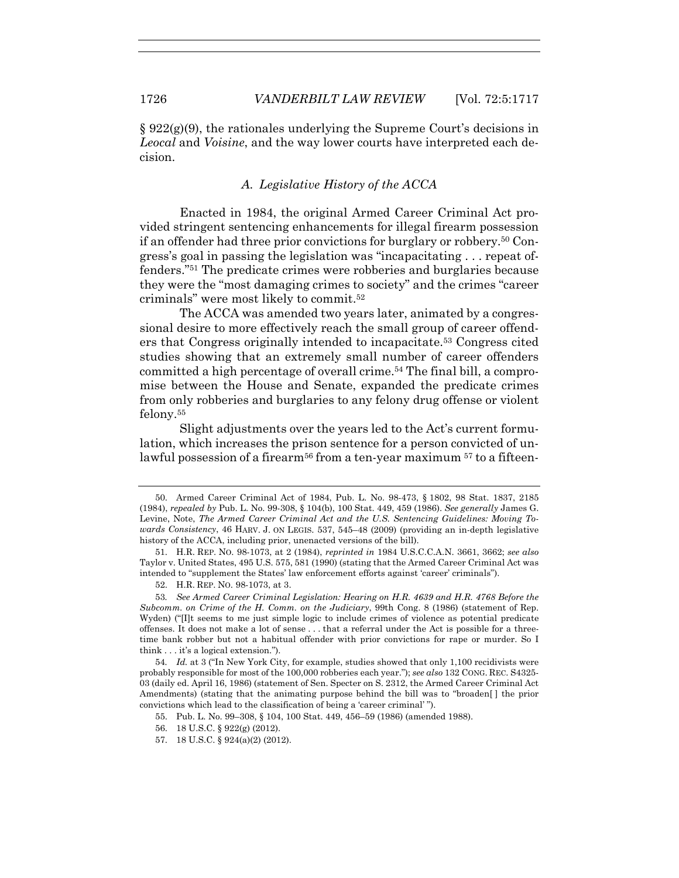$\S 922(g)(9)$ , the rationales underlying the Supreme Court's decisions in *Leocal* and *Voisine*, and the way lower courts have interpreted each decision.

# *A. Legislative History of the ACCA*

Enacted in 1984, the original Armed Career Criminal Act provided stringent sentencing enhancements for illegal firearm possession if an offender had three prior convictions for burglary or robbery.50 Congress's goal in passing the legislation was "incapacitating . . . repeat offenders."51 The predicate crimes were robberies and burglaries because they were the "most damaging crimes to society" and the crimes "career criminals" were most likely to commit.52

The ACCA was amended two years later, animated by a congressional desire to more effectively reach the small group of career offenders that Congress originally intended to incapacitate.53 Congress cited studies showing that an extremely small number of career offenders committed a high percentage of overall crime.54 The final bill, a compromise between the House and Senate, expanded the predicate crimes from only robberies and burglaries to any felony drug offense or violent felony.55

Slight adjustments over the years led to the Act's current formulation, which increases the prison sentence for a person convicted of unlawful possession of a firearm<sup>56</sup> from a ten-year maximum  $57$  to a fifteen-

57. 18 U.S.C. § 924(a)(2) (2012).

 <sup>50.</sup> Armed Career Criminal Act of 1984, Pub. L. No. 98-473, § 1802, 98 Stat. 1837, 2185 (1984), *repealed by* Pub. L. No. 99-308, § 104(b), 100 Stat. 449, 459 (1986). *See generally* James G. Levine, Note, *The Armed Career Criminal Act and the U.S. Sentencing Guidelines: Moving Towards Consistency*, 46 HARV. J. ON LEGIS. 537, 545–48 (2009) (providing an in-depth legislative history of the ACCA, including prior, unenacted versions of the bill).

 <sup>51.</sup> H.R. REP. NO. 98-1073, at 2 (1984), *reprinted in* 1984 U.S.C.C.A.N. 3661, 3662; *see also* Taylor v. United States, 495 U.S. 575, 581 (1990) (stating that the Armed Career Criminal Act was intended to "supplement the States' law enforcement efforts against 'career' criminals").

 <sup>52.</sup> H.R. REP. NO. 98-1073, at 3.

<sup>53</sup>*. See Armed Career Criminal Legislation: Hearing on H.R. 4639 and H.R. 4768 Before the Subcomm. on Crime of the H. Comm. on the Judiciary*, 99th Cong. 8 (1986) (statement of Rep. Wyden) ("[I]t seems to me just simple logic to include crimes of violence as potential predicate offenses. It does not make a lot of sense . . . that a referral under the Act is possible for a threetime bank robber but not a habitual offender with prior convictions for rape or murder. So I think . . . it's a logical extension.").

<sup>54</sup>*. Id.* at 3 ("In New York City, for example, studies showed that only 1,100 recidivists were probably responsible for most of the 100,000 robberies each year."); *see also* 132 CONG. REC. S4325- 03 (daily ed. April 16, 1986) (statement of Sen. Specter on S. 2312, the Armed Career Criminal Act Amendments) (stating that the animating purpose behind the bill was to "broaden[ ] the prior convictions which lead to the classification of being a 'career criminal' ").

 <sup>55.</sup> Pub. L. No. 99–308, § 104, 100 Stat. 449, 456–59 (1986) (amended 1988).

 <sup>56. 18</sup> U.S.C. § 922(g) (2012).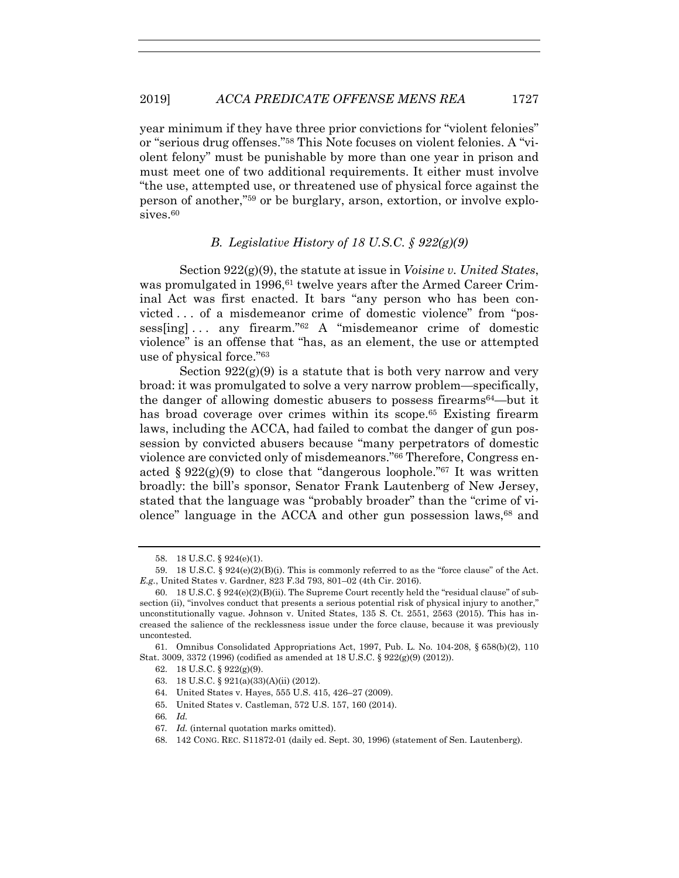year minimum if they have three prior convictions for "violent felonies" or "serious drug offenses."58 This Note focuses on violent felonies. A "violent felony" must be punishable by more than one year in prison and must meet one of two additional requirements. It either must involve "the use, attempted use, or threatened use of physical force against the person of another,"59 or be burglary, arson, extortion, or involve explo $sives.60$ 

# *B. Legislative History of 18 U.S.C. § 922(g)(9)*

Section 922(g)(9), the statute at issue in *Voisine v. United States*, was promulgated in 1996,<sup>61</sup> twelve years after the Armed Career Criminal Act was first enacted. It bars "any person who has been convicted . . . of a misdemeanor crime of domestic violence" from "possess[ing] . . . any firearm."62 A "misdemeanor crime of domestic violence" is an offense that "has, as an element, the use or attempted use of physical force."63

Section  $922(g)(9)$  is a statute that is both very narrow and very broad: it was promulgated to solve a very narrow problem—specifically, the danger of allowing domestic abusers to possess firearms64—but it has broad coverage over crimes within its scope.<sup>65</sup> Existing firearm laws, including the ACCA, had failed to combat the danger of gun possession by convicted abusers because "many perpetrators of domestic violence are convicted only of misdemeanors."66 Therefore, Congress enacted  $\S 922(g)(9)$  to close that "dangerous loophole."<sup>67</sup> It was written broadly: the bill's sponsor, Senator Frank Lautenberg of New Jersey, stated that the language was "probably broader" than the "crime of violence" language in the ACCA and other gun possession laws,<sup>68</sup> and

 61. Omnibus Consolidated Appropriations Act, 1997, Pub. L. No. 104-208, § 658(b)(2), 110 Stat. 3009, 3372 (1996) (codified as amended at 18 U.S.C. § 922(g)(9) (2012)).

- 64. United States v. Hayes, 555 U.S. 415, 426–27 (2009).
- 65. United States v. Castleman, 572 U.S. 157, 160 (2014).
- 66*. Id.*

 <sup>58. 18</sup> U.S.C. § 924(e)(1).

 <sup>59. 18</sup> U.S.C. § 924(e)(2)(B)(i). This is commonly referred to as the "force clause" of the Act. *E.g.*, United States v. Gardner, 823 F.3d 793, 801–02 (4th Cir. 2016).

 <sup>60. 18</sup> U.S.C. § 924(e)(2)(B)(ii). The Supreme Court recently held the "residual clause" of subsection (ii), "involves conduct that presents a serious potential risk of physical injury to another," unconstitutionally vague. Johnson v. United States, 135 S. Ct. 2551, 2563 (2015). This has increased the salience of the recklessness issue under the force clause, because it was previously uncontested.

 <sup>62. 18</sup> U.S.C. § 922(g)(9).

 <sup>63. 18</sup> U.S.C. § 921(a)(33)(A)(ii) (2012).

<sup>67</sup>*. Id.* (internal quotation marks omitted).

 <sup>68. 142</sup> CONG. REC. S11872-01 (daily ed. Sept. 30, 1996) (statement of Sen. Lautenberg).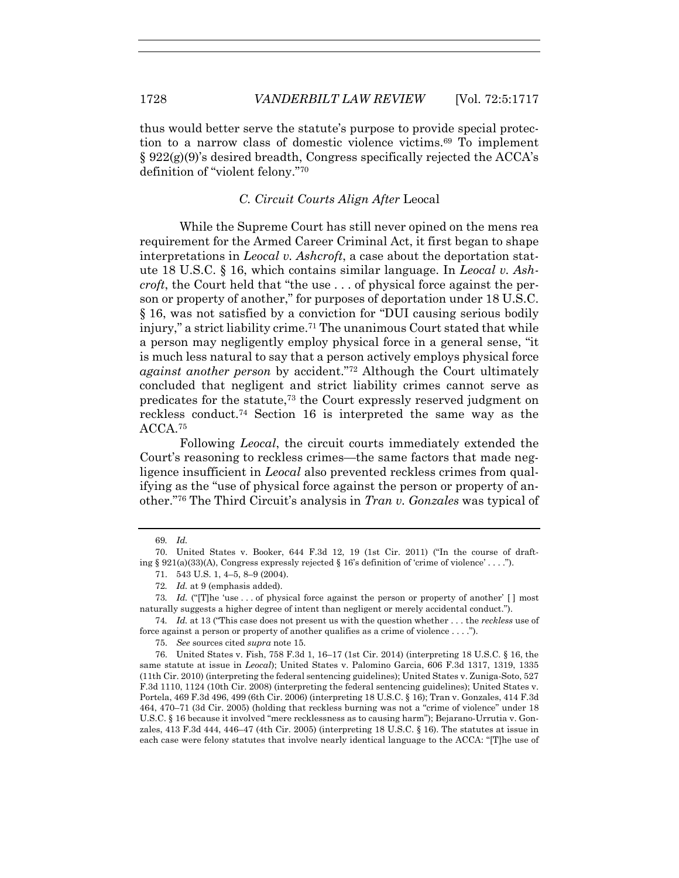thus would better serve the statute's purpose to provide special protection to a narrow class of domestic violence victims.69 To implement  $\S 922(g)(9)$ 's desired breadth, Congress specifically rejected the ACCA's definition of "violent felony."70

## *C. Circuit Courts Align After* Leocal

While the Supreme Court has still never opined on the mens rea requirement for the Armed Career Criminal Act, it first began to shape interpretations in *Leocal v. Ashcroft*, a case about the deportation statute 18 U.S.C. § 16, which contains similar language. In *Leocal v. Ashcroft*, the Court held that "the use . . . of physical force against the person or property of another," for purposes of deportation under 18 U.S.C. § 16, was not satisfied by a conviction for "DUI causing serious bodily injury," a strict liability crime.<sup>71</sup> The unanimous Court stated that while a person may negligently employ physical force in a general sense, "it is much less natural to say that a person actively employs physical force *against another person* by accident."72 Although the Court ultimately concluded that negligent and strict liability crimes cannot serve as predicates for the statute,73 the Court expressly reserved judgment on reckless conduct.74 Section 16 is interpreted the same way as the ACCA.75

Following *Leocal*, the circuit courts immediately extended the Court's reasoning to reckless crimes—the same factors that made negligence insufficient in *Leocal* also prevented reckless crimes from qualifying as the "use of physical force against the person or property of another."76 The Third Circuit's analysis in *Tran v. Gonzales* was typical of

74*. Id.* at 13 ("This case does not present us with the question whether . . . the *reckless* use of force against a person or property of another qualifies as a crime of violence . . . .").

75. *See* sources cited *supra* note 15.

 76. United States v. Fish, 758 F.3d 1, 16–17 (1st Cir. 2014) (interpreting 18 U.S.C. § 16, the same statute at issue in *Leocal*); United States v. Palomino Garcia, 606 F.3d 1317, 1319, 1335 (11th Cir. 2010) (interpreting the federal sentencing guidelines); United States v. Zuniga-Soto, 527 F.3d 1110, 1124 (10th Cir. 2008) (interpreting the federal sentencing guidelines); United States v. Portela, 469 F.3d 496, 499 (6th Cir. 2006) (interpreting 18 U.S.C. § 16); Tran v. Gonzales, 414 F.3d 464, 470–71 (3d Cir. 2005) (holding that reckless burning was not a "crime of violence" under 18 U.S.C. § 16 because it involved "mere recklessness as to causing harm"); Bejarano-Urrutia v. Gonzales, 413 F.3d 444, 446–47 (4th Cir. 2005) (interpreting 18 U.S.C. § 16). The statutes at issue in each case were felony statutes that involve nearly identical language to the ACCA: "[T]he use of

<sup>69</sup>*. Id.*

 <sup>70.</sup> United States v. Booker, 644 F.3d 12, 19 (1st Cir. 2011) ("In the course of drafting § 921(a)(33)(A), Congress expressly rejected § 16's definition of 'crime of violence' . . . .").

 <sup>71. 543</sup> U.S. 1, 4–5, 8–9 (2004).

<sup>72</sup>*. Id.* at 9 (emphasis added).

<sup>73</sup>*. Id.* ("[T]he 'use . . . of physical force against the person or property of another' [ ] most naturally suggests a higher degree of intent than negligent or merely accidental conduct.").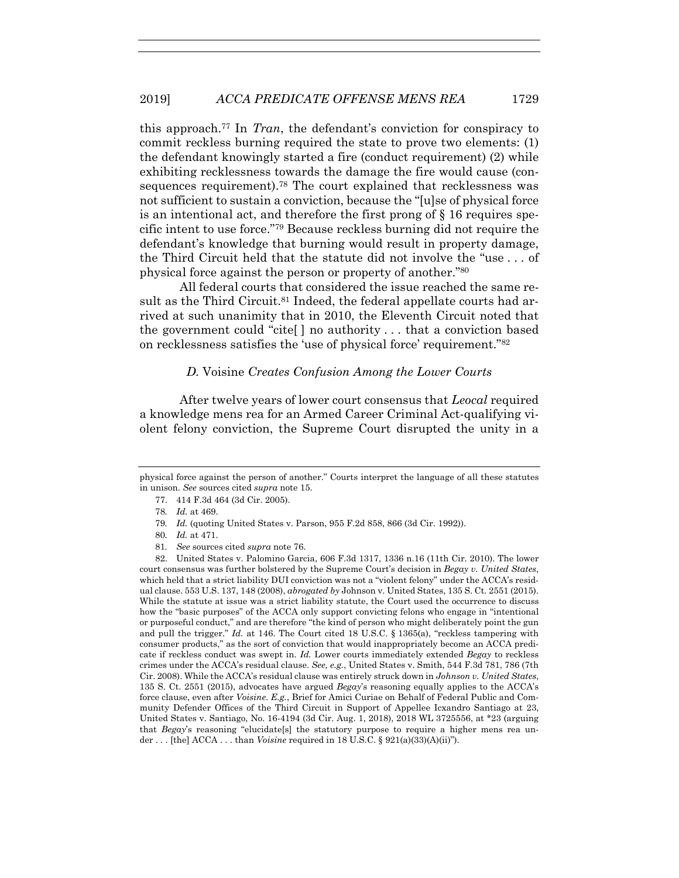this approach.77 In *Tran*, the defendant's conviction for conspiracy to commit reckless burning required the state to prove two elements: (1) the defendant knowingly started a fire (conduct requirement) (2) while exhibiting recklessness towards the damage the fire would cause (consequences requirement).<sup>78</sup> The court explained that recklessness was not sufficient to sustain a conviction, because the "[u]se of physical force is an intentional act, and therefore the first prong of  $\S$  16 requires specific intent to use force."79 Because reckless burning did not require the defendant's knowledge that burning would result in property damage, the Third Circuit held that the statute did not involve the "use . . . of physical force against the person or property of another."80

All federal courts that considered the issue reached the same result as the Third Circuit.<sup>81</sup> Indeed, the federal appellate courts had arrived at such unanimity that in 2010, the Eleventh Circuit noted that the government could "cite[ ] no authority . . . that a conviction based on recklessness satisfies the 'use of physical force' requirement."82

## *D.* Voisine *Creates Confusion Among the Lower Courts*

After twelve years of lower court consensus that *Leocal* required a knowledge mens rea for an Armed Career Criminal Act-qualifying violent felony conviction, the Supreme Court disrupted the unity in a

 82. United States v. Palomino Garcia, 606 F.3d 1317, 1336 n.16 (11th Cir. 2010). The lower court consensus was further bolstered by the Supreme Court's decision in *Begay v. United States*, which held that a strict liability DUI conviction was not a "violent felony" under the ACCA's residual clause. 553 U.S. 137, 148 (2008), *abrogated by* Johnson v. United States, 135 S. Ct. 2551 (2015). While the statute at issue was a strict liability statute, the Court used the occurrence to discuss how the "basic purposes" of the ACCA only support convicting felons who engage in "intentional or purposeful conduct," and are therefore "the kind of person who might deliberately point the gun and pull the trigger." *Id.* at 146. The Court cited 18 U.S.C. § 1365(a), "reckless tampering with consumer products," as the sort of conviction that would inappropriately become an ACCA predicate if reckless conduct was swept in. *Id.* Lower courts immediately extended *Begay* to reckless crimes under the ACCA's residual clause. *See, e.g.*, United States v. Smith, 544 F.3d 781, 786 (7th Cir. 2008). While the ACCA's residual clause was entirely struck down in *Johnson v. United States*, 135 S. Ct. 2551 (2015), advocates have argued *Begay*'s reasoning equally applies to the ACCA's force clause, even after *Voisine*. *E.g.*, Brief for Amici Curiae on Behalf of Federal Public and Community Defender Offices of the Third Circuit in Support of Appellee Icxandro Santiago at 23, United States v. Santiago, No. 16-4194 (3d Cir. Aug. 1, 2018), 2018 WL 3725556, at \*23 (arguing that *Begay*'s reasoning "elucidate[s] the statutory purpose to require a higher mens rea under . . . [the] ACCA . . . than *Voisine* required in 18 U.S.C. § 921(a)(33)(A)(ii)").

physical force against the person of another." Courts interpret the language of all these statutes in unison. *See* sources cited *supra* note 15.

 <sup>77. 414</sup> F.3d 464 (3d Cir. 2005).

<sup>78</sup>*. Id.* at 469.

<sup>79</sup>*. Id.* (quoting United States v. Parson, 955 F.2d 858, 866 (3d Cir. 1992)).

<sup>80</sup>*. Id.* at 471.

<sup>81</sup>*. See* sources cited *supra* note 76.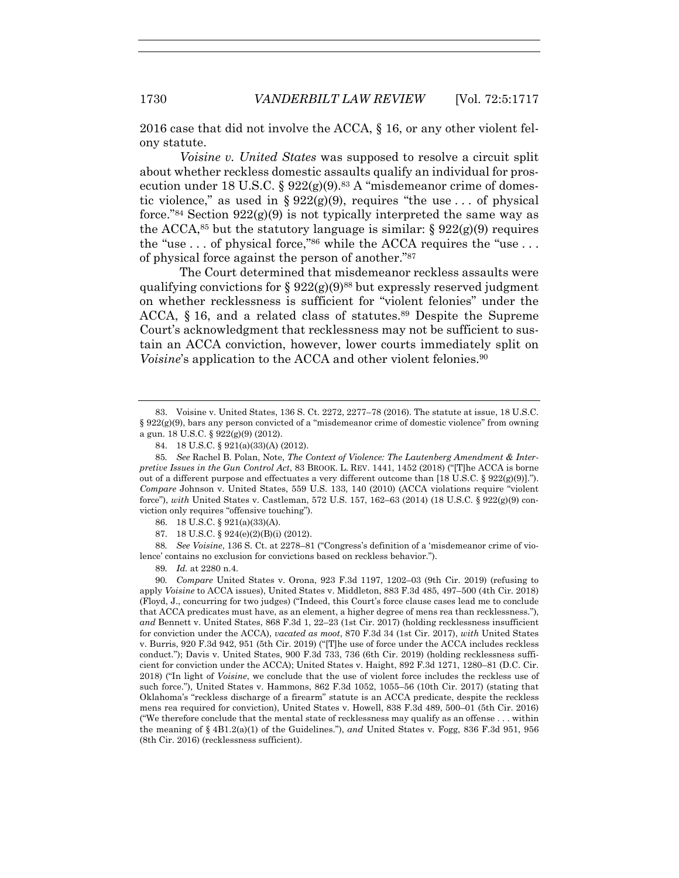2016 case that did not involve the ACCA, § 16, or any other violent felony statute.

*Voisine v. United States* was supposed to resolve a circuit split about whether reckless domestic assaults qualify an individual for prosecution under 18 U.S.C. §  $922(g)(9)$ .<sup>83</sup> A "misdemeanor crime of domestic violence," as used in §  $922(g)(9)$ , requires "the use ... of physical force."<sup>84</sup> Section  $922(g)(9)$  is not typically interpreted the same way as the ACCA,<sup>85</sup> but the statutory language is similar:  $\S 922(g)(9)$  requires the "use  $\ldots$  of physical force,"<sup>86</sup> while the ACCA requires the "use  $\ldots$ of physical force against the person of another."87

The Court determined that misdemeanor reckless assaults were qualifying convictions for §  $922(g)(9)^{88}$  but expressly reserved judgment on whether recklessness is sufficient for "violent felonies" under the ACCA,  $\S$  16, and a related class of statutes.<sup>89</sup> Despite the Supreme Court's acknowledgment that recklessness may not be sufficient to sustain an ACCA conviction, however, lower courts immediately split on *Voisine*'s application to the ACCA and other violent felonies.<sup>90</sup>

86. 18 U.S.C. § 921(a)(33)(A).

87. 18 U.S.C. § 924(e)(2)(B)(i) (2012).

88*. See Voisine*, 136 S. Ct. at 2278–81 ("Congress's definition of a 'misdemeanor crime of violence' contains no exclusion for convictions based on reckless behavior.").

89*. Id.* at 2280 n.4.

90*. Compare* United States v. Orona, 923 F.3d 1197, 1202–03 (9th Cir. 2019) (refusing to apply *Voisine* to ACCA issues), United States v. Middleton, 883 F.3d 485, 497–500 (4th Cir. 2018) (Floyd, J., concurring for two judges) ("Indeed, this Court's force clause cases lead me to conclude that ACCA predicates must have, as an element, a higher degree of mens rea than recklessness."), *and* Bennett v. United States, 868 F.3d 1, 22–23 (1st Cir. 2017) (holding recklessness insufficient for conviction under the ACCA), *vacated as moot*, 870 F.3d 34 (1st Cir. 2017), *with* United States v. Burris, 920 F.3d 942, 951 (5th Cir. 2019) ("[T]he use of force under the ACCA includes reckless conduct."); Davis v. United States, 900 F.3d 733, 736 (6th Cir. 2019) (holding recklessness sufficient for conviction under the ACCA); United States v. Haight, 892 F.3d 1271, 1280–81 (D.C. Cir. 2018) ("In light of *Voisine*, we conclude that the use of violent force includes the reckless use of such force."), United States v. Hammons, 862 F.3d 1052, 1055–56 (10th Cir. 2017) (stating that Oklahoma's "reckless discharge of a firearm" statute is an ACCA predicate, despite the reckless mens rea required for conviction), United States v. Howell, 838 F.3d 489, 500–01 (5th Cir. 2016) ("We therefore conclude that the mental state of recklessness may qualify as an offense . . . within the meaning of § 4B1.2(a)(1) of the Guidelines."), *and* United States v. Fogg, 836 F.3d 951, 956 (8th Cir. 2016) (recklessness sufficient).

 <sup>83.</sup> Voisine v. United States, 136 S. Ct. 2272, 2277–78 (2016). The statute at issue, 18 U.S.C.  $§ 922(g)(9)$ , bars any person convicted of a "misdemeanor crime of domestic violence" from owning a gun. 18 U.S.C. § 922(g)(9) (2012).

 <sup>84. 18</sup> U.S.C. § 921(a)(33)(A) (2012).

<sup>85</sup>*. See* Rachel B. Polan, Note, *The Context of Violence: The Lautenberg Amendment & Interpretive Issues in the Gun Control Act*, 83 BROOK. L. REV. 1441, 1452 (2018) ("[T]he ACCA is borne out of a different purpose and effectuates a very different outcome than [18 U.S.C. § 922(g)(9)]."). *Compare* Johnson v. United States, 559 U.S. 133, 140 (2010) (ACCA violations require "violent force"), *with* United States v. Castleman, 572 U.S. 157, 162–63 (2014) (18 U.S.C. § 922(g)(9) conviction only requires "offensive touching").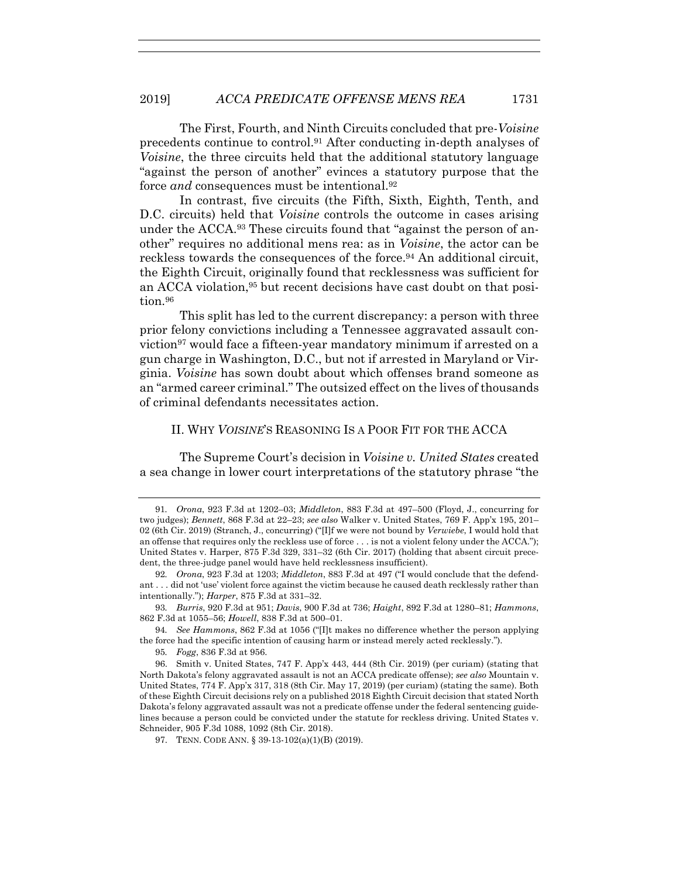The First, Fourth, and Ninth Circuits concluded that pre-*Voisine* precedents continue to control.91 After conducting in-depth analyses of *Voisine*, the three circuits held that the additional statutory language "against the person of another" evinces a statutory purpose that the force *and* consequences must be intentional.<sup>92</sup>

In contrast, five circuits (the Fifth, Sixth, Eighth, Tenth, and D.C. circuits) held that *Voisine* controls the outcome in cases arising under the ACCA.<sup>93</sup> These circuits found that "against the person of another" requires no additional mens rea: as in *Voisine*, the actor can be reckless towards the consequences of the force.94 An additional circuit, the Eighth Circuit, originally found that recklessness was sufficient for an ACCA violation,<sup>95</sup> but recent decisions have cast doubt on that position.96

This split has led to the current discrepancy: a person with three prior felony convictions including a Tennessee aggravated assault conviction<sup>97</sup> would face a fifteen-year mandatory minimum if arrested on a gun charge in Washington, D.C., but not if arrested in Maryland or Virginia. *Voisine* has sown doubt about which offenses brand someone as an "armed career criminal." The outsized effect on the lives of thousands of criminal defendants necessitates action.

# II. WHY *VOISINE*'S REASONING IS A POOR FIT FOR THE ACCA

The Supreme Court's decision in *Voisine v. United States* created a sea change in lower court interpretations of the statutory phrase "the

94*. See Hammons*, 862 F.3d at 1056 ("[I]t makes no difference whether the person applying the force had the specific intention of causing harm or instead merely acted recklessly.").

95*. Fogg*, 836 F.3d at 956.

97. TENN. CODE ANN. § 39-13-102(a)(1)(B) (2019).

<sup>91</sup>*. Orona*, 923 F.3d at 1202–03; *Middleton*, 883 F.3d at 497–500 (Floyd, J., concurring for two judges); *Bennett*, 868 F.3d at 22–23; *see also* Walker v. United States, 769 F. App'x 195, 201– 02 (6th Cir. 2019) (Stranch, J., concurring) ("[I]f we were not bound by *Verwiebe*, I would hold that an offense that requires only the reckless use of force . . . is not a violent felony under the ACCA."); United States v. Harper, 875 F.3d 329, 331–32 (6th Cir. 2017) (holding that absent circuit precedent, the three-judge panel would have held recklessness insufficient).

<sup>92</sup>*. Orona*, 923 F.3d at 1203; *Middleton*, 883 F.3d at 497 ("I would conclude that the defendant . . . did not 'use' violent force against the victim because he caused death recklessly rather than intentionally."); *Harper*, 875 F.3d at 331–32.

<sup>93</sup>*. Burris*, 920 F.3d at 951; *Davis*, 900 F.3d at 736; *Haight*, 892 F.3d at 1280–81; *Hammons*, 862 F.3d at 1055–56; *Howell*, 838 F.3d at 500–01.

 <sup>96.</sup> Smith v. United States, 747 F. App'x 443, 444 (8th Cir. 2019) (per curiam) (stating that North Dakota's felony aggravated assault is not an ACCA predicate offense); *see also* Mountain v. United States, 774 F. App'x 317, 318 (8th Cir. May 17, 2019) (per curiam) (stating the same). Both of these Eighth Circuit decisions rely on a published 2018 Eighth Circuit decision that stated North Dakota's felony aggravated assault was not a predicate offense under the federal sentencing guidelines because a person could be convicted under the statute for reckless driving. United States v. Schneider, 905 F.3d 1088, 1092 (8th Cir. 2018).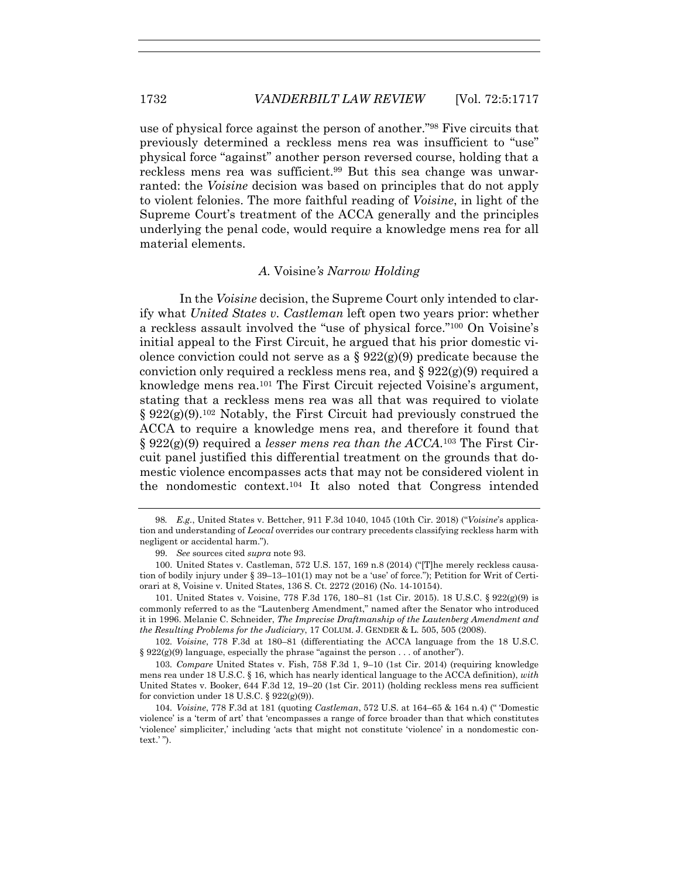use of physical force against the person of another."98 Five circuits that previously determined a reckless mens rea was insufficient to "use" physical force "against" another person reversed course, holding that a reckless mens rea was sufficient.99 But this sea change was unwarranted: the *Voisine* decision was based on principles that do not apply to violent felonies. The more faithful reading of *Voisine*, in light of the Supreme Court's treatment of the ACCA generally and the principles underlying the penal code, would require a knowledge mens rea for all material elements.

# *A.* Voisine*'s Narrow Holding*

In the *Voisine* decision, the Supreme Court only intended to clarify what *United States v. Castleman* left open two years prior: whether a reckless assault involved the "use of physical force."100 On Voisine's initial appeal to the First Circuit, he argued that his prior domestic violence conviction could not serve as a  $\S 922(g)(9)$  predicate because the conviction only required a reckless mens rea, and  $\S 922(g)(9)$  required a knowledge mens rea.101 The First Circuit rejected Voisine's argument, stating that a reckless mens rea was all that was required to violate  $\S 922(g)(9).$ <sup>102</sup> Notably, the First Circuit had previously construed the ACCA to require a knowledge mens rea, and therefore it found that § 922(g)(9) required a *lesser mens rea than the ACCA*.103 The First Circuit panel justified this differential treatment on the grounds that domestic violence encompasses acts that may not be considered violent in the nondomestic context.104 It also noted that Congress intended

102*. Voisine*, 778 F.3d at 180–81 (differentiating the ACCA language from the 18 U.S.C.  $\S 922(g)(9)$  language, especially the phrase "against the person . . . of another").

103*. Compare* United States v. Fish, 758 F.3d 1, 9–10 (1st Cir. 2014) (requiring knowledge mens rea under 18 U.S.C. § 16, which has nearly identical language to the ACCA definition), *with* United States v. Booker, 644 F.3d 12, 19–20 (1st Cir. 2011) (holding reckless mens rea sufficient for conviction under 18 U.S.C.  $\S 922(g)(9)$ .

<sup>98</sup>*. E.g.*, United States v. Bettcher, 911 F.3d 1040, 1045 (10th Cir. 2018) ("*Voisine*'s application and understanding of *Leocal* overrides our contrary precedents classifying reckless harm with negligent or accidental harm.").

 <sup>99.</sup> *See* sources cited *supra* note 93.

 <sup>100.</sup> United States v. Castleman, 572 U.S. 157, 169 n.8 (2014) ("[T]he merely reckless causation of bodily injury under § 39–13–101(1) may not be a 'use' of force."); Petition for Writ of Certiorari at 8, Voisine v. United States, 136 S. Ct. 2272 (2016) (No. 14-10154).

 <sup>101.</sup> United States v. Voisine, 778 F.3d 176, 180–81 (1st Cir. 2015). 18 U.S.C. § 922(g)(9) is commonly referred to as the "Lautenberg Amendment," named after the Senator who introduced it in 1996. Melanie C. Schneider, *The Imprecise Draftmanship of the Lautenberg Amendment and the Resulting Problems for the Judiciary*, 17 COLUM. J. GENDER & L. 505, 505 (2008).

<sup>104</sup>*. Voisine*, 778 F.3d at 181 (quoting *Castleman*, 572 U.S. at 164–65 & 164 n.4) (" 'Domestic violence' is a 'term of art' that 'encompasses a range of force broader than that which constitutes 'violence' simpliciter,' including 'acts that might not constitute 'violence' in a nondomestic context.' ").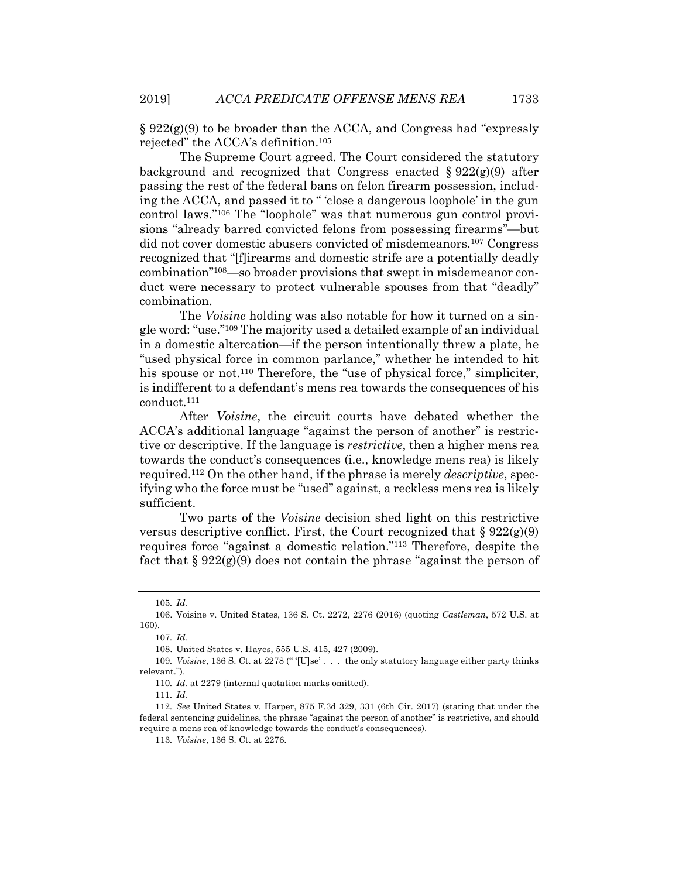$\S 922(g)(9)$  to be broader than the ACCA, and Congress had "expressly rejected" the ACCA's definition.105

The Supreme Court agreed. The Court considered the statutory background and recognized that Congress enacted  $\S 922(g)(9)$  after passing the rest of the federal bans on felon firearm possession, including the ACCA, and passed it to " 'close a dangerous loophole' in the gun control laws."106 The "loophole" was that numerous gun control provisions "already barred convicted felons from possessing firearms"—but did not cover domestic abusers convicted of misdemeanors.107 Congress recognized that "[f]irearms and domestic strife are a potentially deadly combination"108—so broader provisions that swept in misdemeanor conduct were necessary to protect vulnerable spouses from that "deadly" combination.

The *Voisine* holding was also notable for how it turned on a single word: "use."109 The majority used a detailed example of an individual in a domestic altercation—if the person intentionally threw a plate, he "used physical force in common parlance," whether he intended to hit his spouse or not.<sup>110</sup> Therefore, the "use of physical force," simpliciter, is indifferent to a defendant's mens rea towards the consequences of his conduct.111

After *Voisine*, the circuit courts have debated whether the ACCA's additional language "against the person of another" is restrictive or descriptive. If the language is *restrictive*, then a higher mens rea towards the conduct's consequences (i.e., knowledge mens rea) is likely required.112 On the other hand, if the phrase is merely *descriptive*, specifying who the force must be "used" against, a reckless mens rea is likely sufficient.

Two parts of the *Voisine* decision shed light on this restrictive versus descriptive conflict. First, the Court recognized that  $\S 922(g)(9)$ requires force "against a domestic relation."113 Therefore, despite the fact that  $\S 922(g)(9)$  does not contain the phrase "against the person of

<sup>105</sup>*. Id.*

 <sup>106.</sup> Voisine v. United States, 136 S. Ct. 2272, 2276 (2016) (quoting *Castleman*, 572 U.S. at 160).

<sup>107</sup>*. Id.*

 <sup>108.</sup> United States v. Hayes, 555 U.S. 415, 427 (2009).

<sup>109</sup>*. Voisine*, 136 S. Ct. at 2278 (" '[U]se' . . . the only statutory language either party thinks relevant.").

<sup>110</sup>*. Id.* at 2279 (internal quotation marks omitted).

<sup>111</sup>*. Id.*

<sup>112</sup>*. See* United States v. Harper, 875 F.3d 329, 331 (6th Cir. 2017) (stating that under the federal sentencing guidelines, the phrase "against the person of another" is restrictive, and should require a mens rea of knowledge towards the conduct's consequences).

<sup>113</sup>*. Voisine*, 136 S. Ct. at 2276.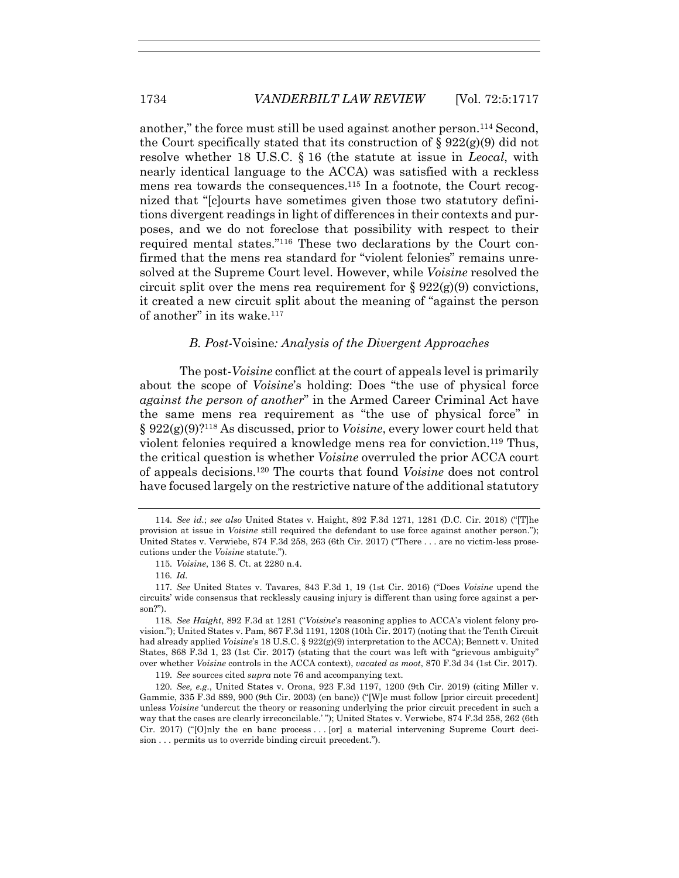another," the force must still be used against another person.114 Second, the Court specifically stated that its construction of  $\S 922(g)(9)$  did not resolve whether 18 U.S.C. § 16 (the statute at issue in *Leocal*, with nearly identical language to the ACCA) was satisfied with a reckless mens rea towards the consequences.115 In a footnote, the Court recognized that "[c]ourts have sometimes given those two statutory definitions divergent readings in light of differences in their contexts and purposes, and we do not foreclose that possibility with respect to their required mental states."116 These two declarations by the Court confirmed that the mens rea standard for "violent felonies" remains unresolved at the Supreme Court level. However, while *Voisine* resolved the circuit split over the mens rea requirement for  $\S 922(g)(9)$  convictions, it created a new circuit split about the meaning of "against the person of another" in its wake.<sup>117</sup>

## *B. Post-*Voisine*: Analysis of the Divergent Approaches*

The post-*Voisine* conflict at the court of appeals level is primarily about the scope of *Voisine*'s holding: Does "the use of physical force *against the person of another*" in the Armed Career Criminal Act have the same mens rea requirement as "the use of physical force" in § 922(g)(9)?118 As discussed, prior to *Voisine*, every lower court held that violent felonies required a knowledge mens rea for conviction.119 Thus, the critical question is whether *Voisine* overruled the prior ACCA court of appeals decisions.120 The courts that found *Voisine* does not control have focused largely on the restrictive nature of the additional statutory

<sup>114</sup>*. See id.*; *see also* United States v. Haight, 892 F.3d 1271, 1281 (D.C. Cir. 2018) ("[T]he provision at issue in *Voisine* still required the defendant to use force against another person."); United States v. Verwiebe, 874 F.3d 258, 263 (6th Cir. 2017) ("There . . . are no victim-less prosecutions under the *Voisine* statute.").

<sup>115</sup>*. Voisine*, 136 S. Ct. at 2280 n.4.

<sup>116</sup>*. Id.*

<sup>117</sup>*. See* United States v. Tavares, 843 F.3d 1, 19 (1st Cir. 2016) ("Does *Voisine* upend the circuits' wide consensus that recklessly causing injury is different than using force against a person?").

<sup>118</sup>*. See Haight*, 892 F.3d at 1281 ("*Voisine*'s reasoning applies to ACCA's violent felony provision."); United States v. Pam, 867 F.3d 1191, 1208 (10th Cir. 2017) (noting that the Tenth Circuit had already applied *Voisine*'s 18 U.S.C. § 922(g)(9) interpretation to the ACCA); Bennett v. United States, 868 F.3d 1, 23 (1st Cir. 2017) (stating that the court was left with "grievous ambiguity" over whether *Voisine* controls in the ACCA context), *vacated as moot*, 870 F.3d 34 (1st Cir. 2017).

<sup>119</sup>*. See* sources cited *supra* note 76 and accompanying text.

<sup>120</sup>*. See, e.g.*, United States v. Orona, 923 F.3d 1197, 1200 (9th Cir. 2019) (citing Miller v. Gammie, 335 F.3d 889, 900 (9th Cir. 2003) (en banc)) ("[W]e must follow [prior circuit precedent] unless *Voisine* 'undercut the theory or reasoning underlying the prior circuit precedent in such a way that the cases are clearly irreconcilable.' "); United States v. Verwiebe, 874 F.3d 258, 262 (6th Cir. 2017) ("[O]nly the en banc process . . . [or] a material intervening Supreme Court decision . . . permits us to override binding circuit precedent.").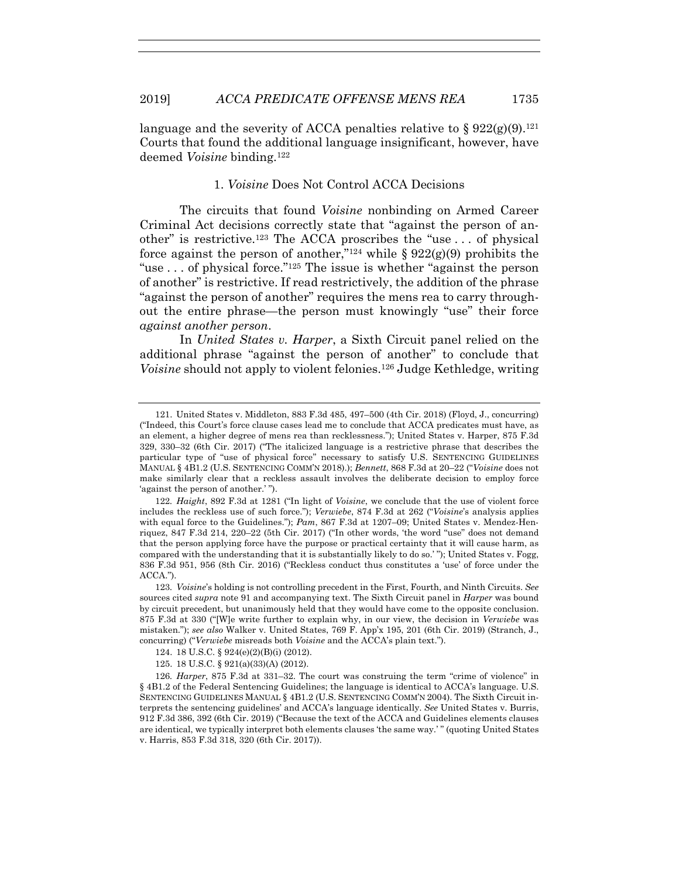language and the severity of ACCA penalties relative to  $\S 922(g)(9).^{121}$ Courts that found the additional language insignificant, however, have deemed *Voisine* binding.122

# 1. *Voisine* Does Not Control ACCA Decisions

The circuits that found *Voisine* nonbinding on Armed Career Criminal Act decisions correctly state that "against the person of another" is restrictive.123 The ACCA proscribes the "use . . . of physical force against the person of another,"<sup>124</sup> while  $\S 922(g)(9)$  prohibits the "use . . . of physical force."125 The issue is whether "against the person of another" is restrictive. If read restrictively, the addition of the phrase "against the person of another" requires the mens rea to carry throughout the entire phrase—the person must knowingly "use" their force *against another person*.

In *United States v. Harper*, a Sixth Circuit panel relied on the additional phrase "against the person of another" to conclude that *Voisine* should not apply to violent felonies.<sup>126</sup> Judge Kethledge, writing

 <sup>121.</sup> United States v. Middleton, 883 F.3d 485, 497–500 (4th Cir. 2018) (Floyd, J., concurring) ("Indeed, this Court's force clause cases lead me to conclude that ACCA predicates must have, as an element, a higher degree of mens rea than recklessness."); United States v. Harper, 875 F.3d 329, 330–32 (6th Cir. 2017) ("The italicized language is a restrictive phrase that describes the particular type of "use of physical force" necessary to satisfy U.S. SENTENCING GUIDELINES MANUAL § 4B1.2 (U.S. SENTENCING COMM'N 2018).); *Bennett*, 868 F.3d at 20–22 ("*Voisine* does not make similarly clear that a reckless assault involves the deliberate decision to employ force 'against the person of another.' ").

<sup>122</sup>*. Haight*, 892 F.3d at 1281 ("In light of *Voisine*, we conclude that the use of violent force includes the reckless use of such force."); *Verwiebe*, 874 F.3d at 262 ("*Voisine*'s analysis applies with equal force to the Guidelines."); *Pam*, 867 F.3d at 1207–09; United States v. Mendez-Henriquez, 847 F.3d 214, 220–22 (5th Cir. 2017) ("In other words, 'the word "use" does not demand that the person applying force have the purpose or practical certainty that it will cause harm, as compared with the understanding that it is substantially likely to do so.' "); United States v. Fogg, 836 F.3d 951, 956 (8th Cir. 2016) ("Reckless conduct thus constitutes a 'use' of force under the ACCA.").

<sup>123</sup>*. Voisine*'s holding is not controlling precedent in the First, Fourth, and Ninth Circuits. *See* sources cited *supra* note 91 and accompanying text. The Sixth Circuit panel in *Harper* was bound by circuit precedent, but unanimously held that they would have come to the opposite conclusion. 875 F.3d at 330 ("[W]e write further to explain why, in our view, the decision in *Verwiebe* was mistaken."); *see also* Walker v. United States, 769 F. App'x 195, 201 (6th Cir. 2019) (Stranch, J., concurring) ("*Verwiebe* misreads both *Voisine* and the ACCA's plain text.").

 <sup>124. 18</sup> U.S.C. § 924(e)(2)(B)(i) (2012).

 <sup>125. 18</sup> U.S.C. § 921(a)(33)(A) (2012).

<sup>126</sup>*. Harper*, 875 F.3d at 331–32. The court was construing the term "crime of violence" in § 4B1.2 of the Federal Sentencing Guidelines; the language is identical to ACCA's language. U.S. SENTENCING GUIDELINES MANUAL § 4B1.2 (U.S. SENTENCING COMM'N 2004). The Sixth Circuit interprets the sentencing guidelines' and ACCA's language identically. *See* United States v. Burris, 912 F.3d 386, 392 (6th Cir. 2019) ("Because the text of the ACCA and Guidelines elements clauses are identical, we typically interpret both elements clauses 'the same way.' " (quoting United States v. Harris, 853 F.3d 318, 320 (6th Cir. 2017)).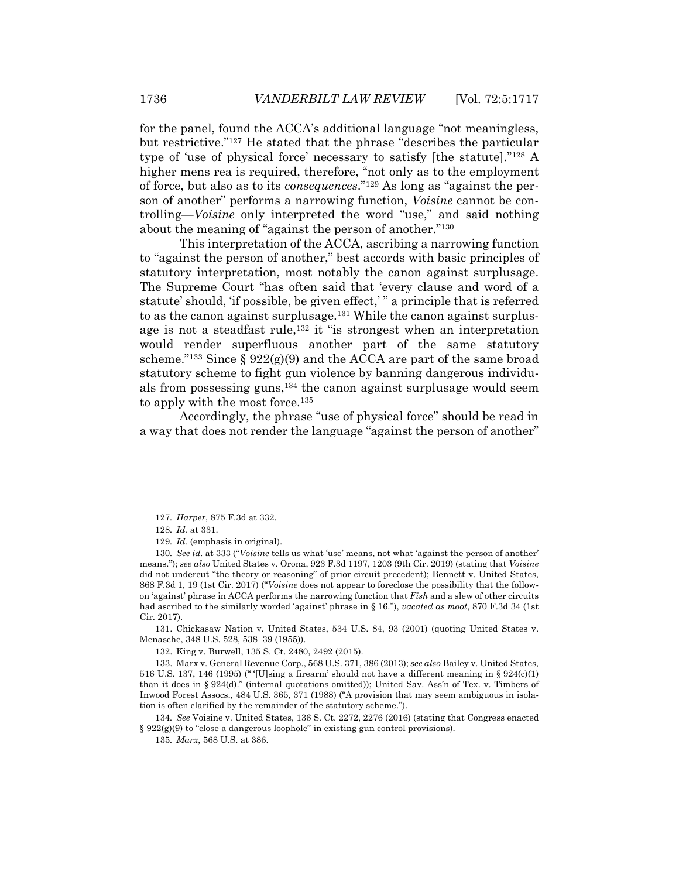for the panel, found the ACCA's additional language "not meaningless, but restrictive."127 He stated that the phrase "describes the particular type of 'use of physical force' necessary to satisfy [the statute]."128 A higher mens rea is required, therefore, "not only as to the employment of force, but also as to its *consequences*."129 As long as "against the person of another" performs a narrowing function, *Voisine* cannot be controlling—*Voisine* only interpreted the word "use," and said nothing about the meaning of "against the person of another."130

This interpretation of the ACCA, ascribing a narrowing function to "against the person of another," best accords with basic principles of statutory interpretation, most notably the canon against surplusage. The Supreme Court "has often said that 'every clause and word of a statute' should, 'if possible, be given effect,' " a principle that is referred to as the canon against surplusage.131 While the canon against surplusage is not a steadfast rule,132 it "is strongest when an interpretation would render superfluous another part of the same statutory scheme.<sup>"133</sup> Since  $\S 922(g)(9)$  and the ACCA are part of the same broad statutory scheme to fight gun violence by banning dangerous individuals from possessing guns,134 the canon against surplusage would seem to apply with the most force.<sup>135</sup>

Accordingly, the phrase "use of physical force" should be read in a way that does not render the language "against the person of another"

 131. Chickasaw Nation v. United States, 534 U.S. 84, 93 (2001) (quoting United States v. Menasche, 348 U.S. 528, 538–39 (1955)).

132. King v. Burwell, 135 S. Ct. 2480, 2492 (2015).

 133. Marx v. General Revenue Corp., 568 U.S. 371, 386 (2013); *see also* Bailey v. United States, 516 U.S. 137, 146 (1995) (" '[U]sing a firearm' should not have a different meaning in §  $924(c)(1)$ than it does in § 924(d)." (internal quotations omitted)); United Sav. Ass'n of Tex. v. Timbers of Inwood Forest Assocs., 484 U.S. 365, 371 (1988) ("A provision that may seem ambiguous in isolation is often clarified by the remainder of the statutory scheme.").

134*. See* Voisine v. United States, 136 S. Ct. 2272, 2276 (2016) (stating that Congress enacted § 922(g)(9) to "close a dangerous loophole" in existing gun control provisions).

135*. Marx*, 568 U.S. at 386.

<sup>127</sup>*. Harper*, 875 F.3d at 332.

<sup>128</sup>*. Id.* at 331.

<sup>129</sup>*. Id.* (emphasis in original).

<sup>130</sup>*. See id.* at 333 ("*Voisine* tells us what 'use' means, not what 'against the person of another' means."); *see also* United States v. Orona, 923 F.3d 1197, 1203 (9th Cir. 2019) (stating that *Voisine* did not undercut "the theory or reasoning" of prior circuit precedent); Bennett v. United States, 868 F.3d 1, 19 (1st Cir. 2017) ("*Voisine* does not appear to foreclose the possibility that the followon 'against' phrase in ACCA performs the narrowing function that *Fish* and a slew of other circuits had ascribed to the similarly worded 'against' phrase in § 16."), *vacated as moot*, 870 F.3d 34 (1st Cir. 2017).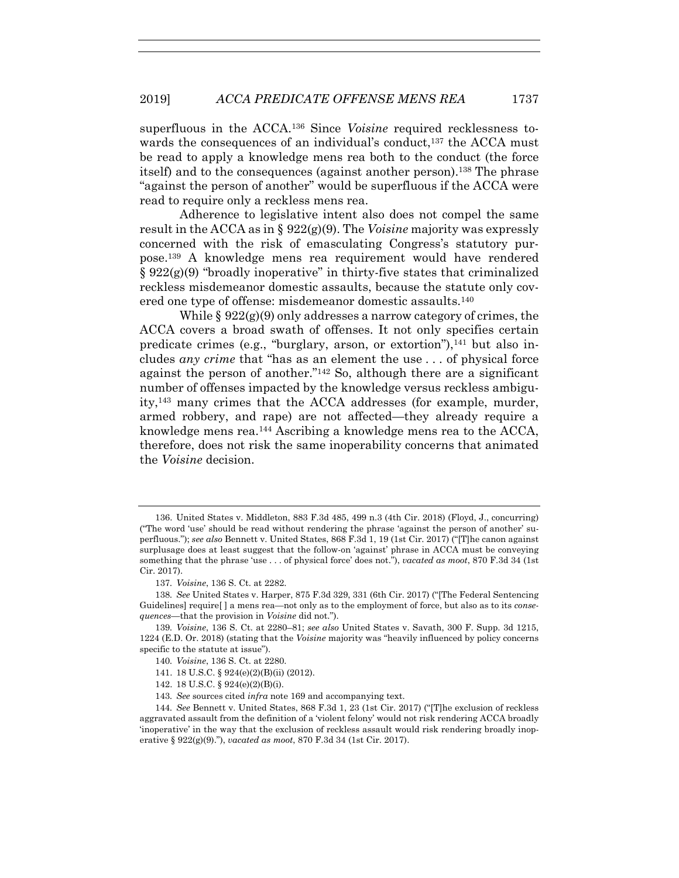superfluous in the ACCA.136 Since *Voisine* required recklessness towards the consequences of an individual's conduct,<sup>137</sup> the ACCA must be read to apply a knowledge mens rea both to the conduct (the force itself) and to the consequences (against another person).138 The phrase "against the person of another" would be superfluous if the ACCA were read to require only a reckless mens rea.

Adherence to legislative intent also does not compel the same result in the ACCA as in § 922(g)(9). The *Voisine* majority was expressly concerned with the risk of emasculating Congress's statutory purpose.139 A knowledge mens rea requirement would have rendered  $\S 922(g)(9)$  "broadly inoperative" in thirty-five states that criminalized reckless misdemeanor domestic assaults, because the statute only covered one type of offense: misdemeanor domestic assaults.140

While  $\S 922(g)(9)$  only addresses a narrow category of crimes, the ACCA covers a broad swath of offenses. It not only specifies certain predicate crimes (e.g., "burglary, arson, or extortion"), $^{141}$  but also includes *any crime* that "has as an element the use . . . of physical force against the person of another."142 So, although there are a significant number of offenses impacted by the knowledge versus reckless ambiguity,143 many crimes that the ACCA addresses (for example, murder, armed robbery, and rape) are not affected—they already require a knowledge mens rea.144 Ascribing a knowledge mens rea to the ACCA, therefore, does not risk the same inoperability concerns that animated the *Voisine* decision.

- 141. 18 U.S.C. § 924(e)(2)(B)(ii) (2012).
- 142. 18 U.S.C. § 924(e)(2)(B)(i).
- 143*. See* sources cited *infra* note 169 and accompanying text.

 <sup>136.</sup> United States v. Middleton, 883 F.3d 485, 499 n.3 (4th Cir. 2018) (Floyd, J., concurring) ("The word 'use' should be read without rendering the phrase 'against the person of another' superfluous."); *see also* Bennett v. United States, 868 F.3d 1, 19 (1st Cir. 2017) ("[T]he canon against surplusage does at least suggest that the follow-on 'against' phrase in ACCA must be conveying something that the phrase 'use . . . of physical force' does not."), *vacated as moot*, 870 F.3d 34 (1st Cir. 2017).

<sup>137</sup>*. Voisine*, 136 S. Ct. at 2282.

<sup>138</sup>*. See* United States v. Harper, 875 F.3d 329, 331 (6th Cir. 2017) ("[The Federal Sentencing Guidelines] require[ ] a mens rea—not only as to the employment of force, but also as to its *consequences*—that the provision in *Voisine* did not.").

<sup>139</sup>*. Voisine*, 136 S. Ct. at 2280–81; *see also* United States v. Savath, 300 F. Supp. 3d 1215, 1224 (E.D. Or. 2018) (stating that the *Voisine* majority was "heavily influenced by policy concerns specific to the statute at issue").

<sup>140</sup>*. Voisine*, 136 S. Ct. at 2280.

<sup>144</sup>*. See* Bennett v. United States, 868 F.3d 1, 23 (1st Cir. 2017) ("[T]he exclusion of reckless aggravated assault from the definition of a 'violent felony' would not risk rendering ACCA broadly 'inoperative' in the way that the exclusion of reckless assault would risk rendering broadly inoperative § 922(g)(9)."), *vacated as moot*, 870 F.3d 34 (1st Cir. 2017).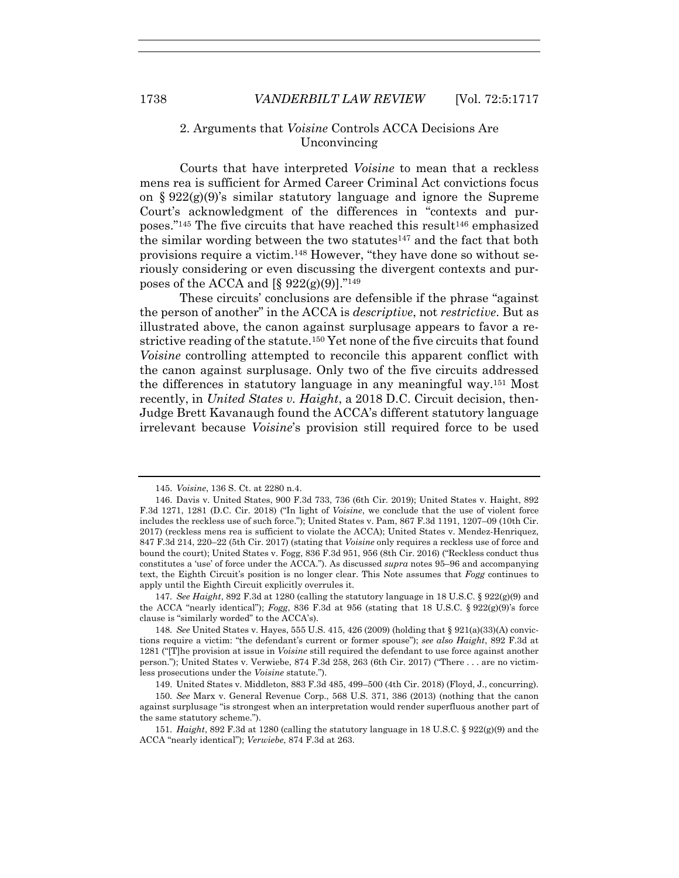# 2. Arguments that *Voisine* Controls ACCA Decisions Are Unconvincing

Courts that have interpreted *Voisine* to mean that a reckless mens rea is sufficient for Armed Career Criminal Act convictions focus on  $\S 922(g)(9)$ 's similar statutory language and ignore the Supreme Court's acknowledgment of the differences in "contexts and purposes."<sup>145</sup> The five circuits that have reached this result<sup>146</sup> emphasized the similar wording between the two statutes $147$  and the fact that both provisions require a victim.148 However, "they have done so without seriously considering or even discussing the divergent contexts and purposes of the ACCA and  $\S 922(g)(9)$ <sup>"149</sup>

These circuits' conclusions are defensible if the phrase "against the person of another" in the ACCA is *descriptive*, not *restrictive*. But as illustrated above, the canon against surplusage appears to favor a restrictive reading of the statute.150 Yet none of the five circuits that found *Voisine* controlling attempted to reconcile this apparent conflict with the canon against surplusage. Only two of the five circuits addressed the differences in statutory language in any meaningful way.151 Most recently, in *United States v. Haight*, a 2018 D.C. Circuit decision, then-Judge Brett Kavanaugh found the ACCA's different statutory language irrelevant because *Voisine*'s provision still required force to be used

147*. See Haight*, 892 F.3d at 1280 (calling the statutory language in 18 U.S.C. § 922(g)(9) and the ACCA "nearly identical"); *Fogg*, 836 F.3d at 956 (stating that 18 U.S.C. § 922(g)(9)'s force clause is "similarly worded" to the ACCA's).

148*. See* United States v. Hayes, 555 U.S. 415, 426 (2009) (holding that § 921(a)(33)(A) convictions require a victim: "the defendant's current or former spouse"); *see also Haight*, 892 F.3d at 1281 ("[T]he provision at issue in *Voisine* still required the defendant to use force against another person."); United States v. Verwiebe, 874 F.3d 258, 263 (6th Cir. 2017) ("There . . . are no victimless prosecutions under the *Voisine* statute.").

149. United States v. Middleton, 883 F.3d 485, 499–500 (4th Cir. 2018) (Floyd, J., concurring).

150*. See* Marx v. General Revenue Corp., 568 U.S. 371, 386 (2013) (nothing that the canon against surplusage "is strongest when an interpretation would render superfluous another part of the same statutory scheme.").

151*. Haight*, 892 F.3d at 1280 (calling the statutory language in 18 U.S.C. § 922(g)(9) and the ACCA "nearly identical"); *Verwiebe*, 874 F.3d at 263.

 <sup>145.</sup> *Voisine*, 136 S. Ct. at 2280 n.4.

 <sup>146.</sup> Davis v. United States, 900 F.3d 733, 736 (6th Cir. 2019); United States v. Haight, 892 F.3d 1271, 1281 (D.C. Cir. 2018) ("In light of *Voisine*, we conclude that the use of violent force includes the reckless use of such force."); United States v. Pam, 867 F.3d 1191, 1207–09 (10th Cir. 2017) (reckless mens rea is sufficient to violate the ACCA); United States v. Mendez-Henriquez, 847 F.3d 214, 220–22 (5th Cir. 2017) (stating that *Voisine* only requires a reckless use of force and bound the court); United States v. Fogg, 836 F.3d 951, 956 (8th Cir. 2016) ("Reckless conduct thus constitutes a 'use' of force under the ACCA."). As discussed *supra* notes 95–96 and accompanying text, the Eighth Circuit's position is no longer clear. This Note assumes that *Fogg* continues to apply until the Eighth Circuit explicitly overrules it.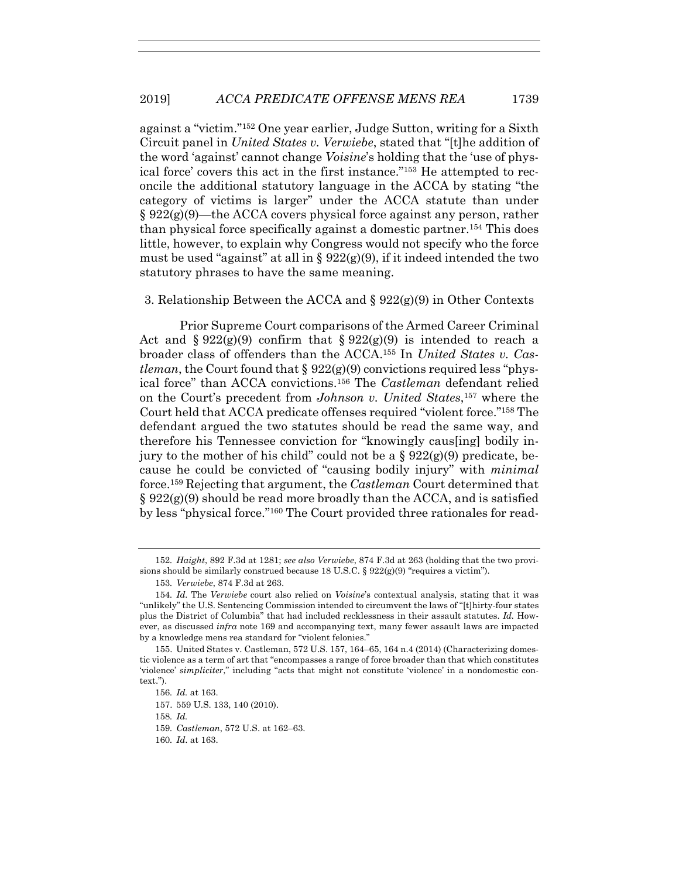against a "victim."152 One year earlier, Judge Sutton, writing for a Sixth Circuit panel in *United States v. Verwiebe*, stated that "[t]he addition of the word 'against' cannot change *Voisine*'s holding that the 'use of physical force' covers this act in the first instance."153 He attempted to reconcile the additional statutory language in the ACCA by stating "the category of victims is larger" under the ACCA statute than under  $\S 922(g)(9)$ —the ACCA covers physical force against any person, rather than physical force specifically against a domestic partner.154 This does little, however, to explain why Congress would not specify who the force must be used "against" at all in  $\S 922(g)(9)$ , if it indeed intended the two statutory phrases to have the same meaning.

#### 3. Relationship Between the ACCA and § 922(g)(9) in Other Contexts

Prior Supreme Court comparisons of the Armed Career Criminal Act and  $\S 922(g)(9)$  confirm that  $\S 922(g)(9)$  is intended to reach a broader class of offenders than the ACCA.155 In *United States v. Castleman*, the Court found that  $\S 922(g)(9)$  convictions required less "physical force" than ACCA convictions.156 The *Castleman* defendant relied on the Court's precedent from *Johnson v. United States*,157 where the Court held that ACCA predicate offenses required "violent force."158 The defendant argued the two statutes should be read the same way, and therefore his Tennessee conviction for "knowingly caus[ing] bodily injury to the mother of his child" could not be a  $\S 922(g)(9)$  predicate, because he could be convicted of "causing bodily injury" with *minimal* force.159 Rejecting that argument, the *Castleman* Court determined that  $\S 922(g)(9)$  should be read more broadly than the ACCA, and is satisfied by less "physical force."160 The Court provided three rationales for read-

- 157. 559 U.S. 133, 140 (2010).
- 158*. Id.*
- 159*. Castleman*, 572 U.S. at 162–63.
- 160*. Id*. at 163.

<sup>152</sup>*. Haight*, 892 F.3d at 1281; *see also Verwiebe*, 874 F.3d at 263 (holding that the two provisions should be similarly construed because 18 U.S.C. §  $922(g)(9)$  "requires a victim").

<sup>153</sup>*. Verwiebe*, 874 F.3d at 263.

<sup>154</sup>*. Id.* The *Verwiebe* court also relied on *Voisine*'s contextual analysis, stating that it was "unlikely" the U.S. Sentencing Commission intended to circumvent the laws of "[t]hirty-four states plus the District of Columbia" that had included recklessness in their assault statutes. *Id.* However, as discussed *infra* note 169 and accompanying text, many fewer assault laws are impacted by a knowledge mens rea standard for "violent felonies."

 <sup>155.</sup> United States v. Castleman, 572 U.S. 157, 164–65, 164 n.4 (2014) (Characterizing domestic violence as a term of art that "encompasses a range of force broader than that which constitutes 'violence' *simpliciter*," including "acts that might not constitute 'violence' in a nondomestic context.").

<sup>156</sup>*. Id.* at 163.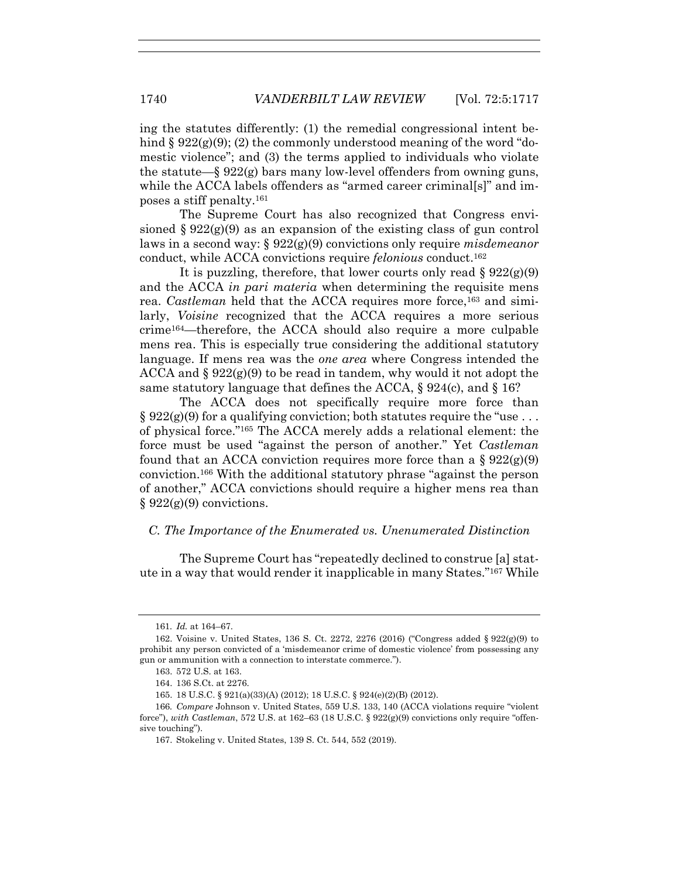ing the statutes differently: (1) the remedial congressional intent behind  $\S 922(g)(9)$ ; (2) the commonly understood meaning of the word "domestic violence"; and (3) the terms applied to individuals who violate the statute— $\S 922(g)$  bars many low-level offenders from owning guns, while the ACCA labels offenders as "armed career criminal[s]" and imposes a stiff penalty.161

The Supreme Court has also recognized that Congress envisioned  $\S 922(g)(9)$  as an expansion of the existing class of gun control laws in a second way: § 922(g)(9) convictions only require *misdemeanor* conduct, while ACCA convictions require *felonious* conduct.162

It is puzzling, therefore, that lower courts only read  $\S 922(g)(9)$ and the ACCA *in pari materia* when determining the requisite mens rea. *Castleman* held that the ACCA requires more force,<sup>163</sup> and similarly, *Voisine* recognized that the ACCA requires a more serious crime164—therefore, the ACCA should also require a more culpable mens rea. This is especially true considering the additional statutory language. If mens rea was the *one area* where Congress intended the ACCA and  $\S 922(g)(9)$  to be read in tandem, why would it not adopt the same statutory language that defines the ACCA,  $\S 924(c)$ , and  $\S 16$ ?

The ACCA does not specifically require more force than  $\S 922(g)(9)$  for a qualifying conviction; both statutes require the "use... of physical force."165 The ACCA merely adds a relational element: the force must be used "against the person of another." Yet *Castleman* found that an ACCA conviction requires more force than a  $\S 922(\text{g})$ conviction.166 With the additional statutory phrase "against the person of another," ACCA convictions should require a higher mens rea than  $§ 922(g)(9)$  convictions.

# *C. The Importance of the Enumerated vs. Unenumerated Distinction*

The Supreme Court has "repeatedly declined to construe [a] statute in a way that would render it inapplicable in many States."167 While

<sup>161</sup>*. Id.* at 164–67.

 <sup>162.</sup> Voisine v. United States, 136 S. Ct. 2272, 2276 (2016) ("Congress added § 922(g)(9) to prohibit any person convicted of a 'misdemeanor crime of domestic violence' from possessing any gun or ammunition with a connection to interstate commerce.").

 <sup>163. 572</sup> U.S. at 163.

 <sup>164. 136</sup> S.Ct. at 2276.

 <sup>165. 18</sup> U.S.C. § 921(a)(33)(A) (2012); 18 U.S.C. § 924(e)(2)(B) (2012).

<sup>166</sup>*. Compare* Johnson v. United States, 559 U.S. 133, 140 (ACCA violations require "violent force"), *with Castleman*, 572 U.S. at 162–63 (18 U.S.C. § 922(g)(9) convictions only require "offensive touching").

 <sup>167.</sup> Stokeling v. United States, 139 S. Ct. 544, 552 (2019).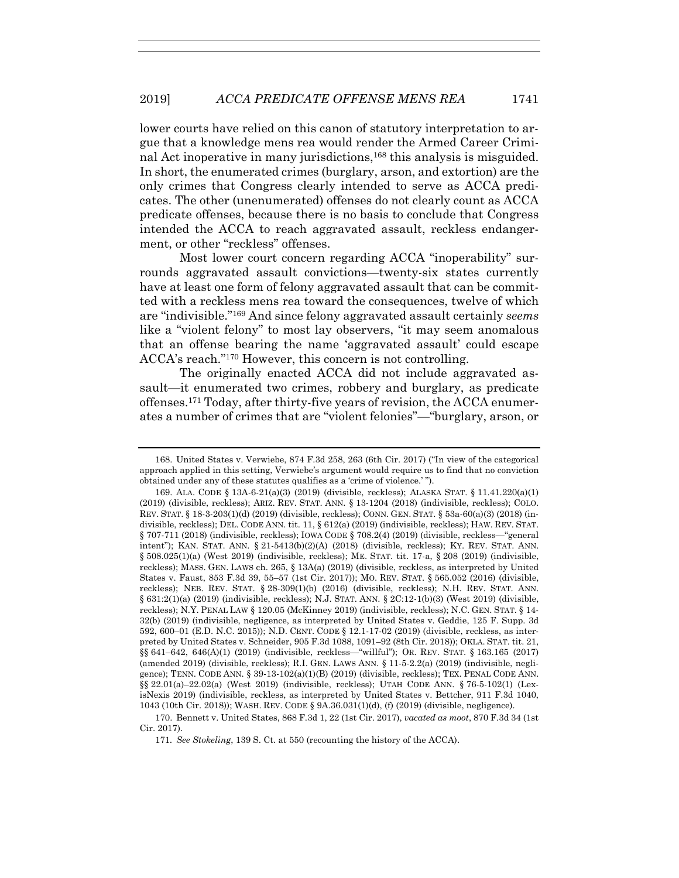lower courts have relied on this canon of statutory interpretation to argue that a knowledge mens rea would render the Armed Career Criminal Act inoperative in many jurisdictions,168 this analysis is misguided. In short, the enumerated crimes (burglary, arson, and extortion) are the only crimes that Congress clearly intended to serve as ACCA predicates. The other (unenumerated) offenses do not clearly count as ACCA predicate offenses, because there is no basis to conclude that Congress intended the ACCA to reach aggravated assault, reckless endangerment, or other "reckless" offenses.

Most lower court concern regarding ACCA "inoperability" surrounds aggravated assault convictions—twenty-six states currently have at least one form of felony aggravated assault that can be committed with a reckless mens rea toward the consequences, twelve of which are "indivisible."169 And since felony aggravated assault certainly *seems* like a "violent felony" to most lay observers, "it may seem anomalous that an offense bearing the name 'aggravated assault' could escape ACCA's reach."170 However, this concern is not controlling.

The originally enacted ACCA did not include aggravated assault—it enumerated two crimes, robbery and burglary, as predicate offenses.171 Today, after thirty-five years of revision, the ACCA enumerates a number of crimes that are "violent felonies"—"burglary, arson, or

 170. Bennett v. United States, 868 F.3d 1, 22 (1st Cir. 2017), *vacated as moot*, 870 F.3d 34 (1st Cir. 2017).

171*. See Stokeling*, 139 S. Ct. at 550 (recounting the history of the ACCA).

 <sup>168.</sup> United States v. Verwiebe, 874 F.3d 258, 263 (6th Cir. 2017) ("In view of the categorical approach applied in this setting, Verwiebe's argument would require us to find that no conviction obtained under any of these statutes qualifies as a 'crime of violence.' ").

 <sup>169.</sup> ALA. CODE § 13A-6-21(a)(3) (2019) (divisible, reckless); ALASKA STAT. § 11.41.220(a)(1) (2019) (divisible, reckless); ARIZ. REV. STAT. ANN. § 13-1204 (2018) (indivisible, reckless); COLO. REV. STAT. § 18-3-203(1)(d) (2019) (divisible, reckless); CONN. GEN. STAT. § 53a-60(a)(3) (2018) (indivisible, reckless); DEL. CODE ANN. tit. 11, § 612(a) (2019) (indivisible, reckless); HAW. REV. STAT. § 707-711 (2018) (indivisible, reckless); IOWA CODE § 708.2(4) (2019) (divisible, reckless—"general intent"); KAN. STAT. ANN. § 21-5413(b)(2)(A) (2018) (divisible, reckless); KY. REV. STAT. ANN. § 508.025(1)(a) (West 2019) (indivisible, reckless); ME. STAT. tit. 17-a, § 208 (2019) (indivisible, reckless); MASS. GEN. LAWS ch. 265, § 13A(a) (2019) (divisible, reckless, as interpreted by United States v. Faust, 853 F.3d 39, 55–57 (1st Cir. 2017)); MO. REV. STAT. § 565.052 (2016) (divisible, reckless); NEB. REV. STAT. § 28-309(1)(b) (2016) (divisible, reckless); N.H. REV. STAT. ANN. § 631:2(1)(a) (2019) (indivisible, reckless); N.J. STAT. ANN. § 2C:12-1(b)(3) (West 2019) (divisible, reckless); N.Y. PENAL LAW § 120.05 (McKinney 2019) (indivisible, reckless); N.C. GEN. STAT. § 14- 32(b) (2019) (indivisible, negligence, as interpreted by United States v. Geddie, 125 F. Supp. 3d 592, 600–01 (E.D. N.C. 2015)); N.D. CENT. CODE § 12.1-17-02 (2019) (divisible, reckless, as interpreted by United States v. Schneider, 905 F.3d 1088, 1091–92 (8th Cir. 2018)); OKLA. STAT. tit. 21, §§ 641–642, 646(A)(1) (2019) (indivisible, reckless—"willful"); OR. REV. STAT. § 163.165 (2017) (amended 2019) (divisible, reckless); R.I. GEN. LAWS ANN. § 11-5-2.2(a) (2019) (indivisible, negligence); TENN. CODE ANN. § 39-13-102(a)(1)(B) (2019) (divisible, reckless); TEX. PENAL CODE ANN. §§ 22.01(a)–22.02(a) (West 2019) (indivisible, reckless); UTAH CODE ANN. § 76-5-102(1) (LexisNexis 2019) (indivisible, reckless, as interpreted by United States v. Bettcher, 911 F.3d 1040, 1043 (10th Cir. 2018)); WASH. REV. CODE § 9A.36.031(1)(d), (f) (2019) (divisible, negligence).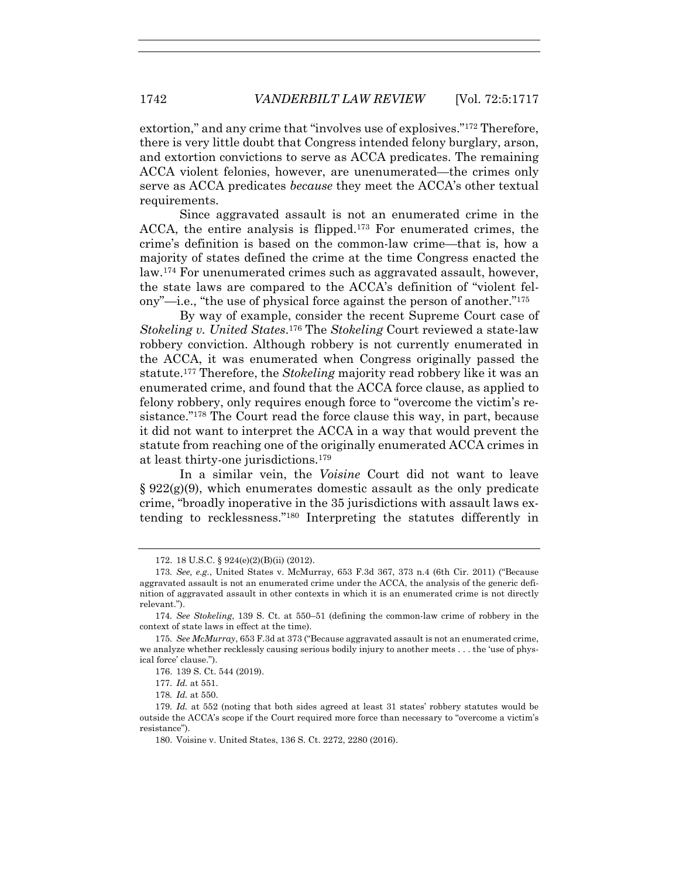extortion," and any crime that "involves use of explosives."172 Therefore, there is very little doubt that Congress intended felony burglary, arson, and extortion convictions to serve as ACCA predicates. The remaining ACCA violent felonies, however, are unenumerated—the crimes only serve as ACCA predicates *because* they meet the ACCA's other textual requirements.

Since aggravated assault is not an enumerated crime in the ACCA, the entire analysis is flipped.173 For enumerated crimes, the crime's definition is based on the common-law crime—that is, how a majority of states defined the crime at the time Congress enacted the law.174 For unenumerated crimes such as aggravated assault, however, the state laws are compared to the ACCA's definition of "violent felony"—i.e., "the use of physical force against the person of another."175

By way of example, consider the recent Supreme Court case of *Stokeling v. United States*.176 The *Stokeling* Court reviewed a state-law robbery conviction. Although robbery is not currently enumerated in the ACCA, it was enumerated when Congress originally passed the statute.177 Therefore, the *Stokeling* majority read robbery like it was an enumerated crime, and found that the ACCA force clause, as applied to felony robbery, only requires enough force to "overcome the victim's resistance."178 The Court read the force clause this way, in part, because it did not want to interpret the ACCA in a way that would prevent the statute from reaching one of the originally enumerated ACCA crimes in at least thirty-one jurisdictions.179

In a similar vein, the *Voisine* Court did not want to leave  $\S 922(g)(9)$ , which enumerates domestic assault as the only predicate crime, "broadly inoperative in the 35 jurisdictions with assault laws extending to recklessness."180 Interpreting the statutes differently in

176. 139 S. Ct. 544 (2019).

177*. Id.* at 551.

178*. Id.* at 550.

 <sup>172. 18</sup> U.S.C. § 924(e)(2)(B)(ii) (2012).

<sup>173</sup>*. See, e.g.*, United States v. McMurray, 653 F.3d 367, 373 n.4 (6th Cir. 2011) ("Because aggravated assault is not an enumerated crime under the ACCA, the analysis of the generic definition of aggravated assault in other contexts in which it is an enumerated crime is not directly relevant.").

<sup>174</sup>*. See Stokeling*, 139 S. Ct. at 550–51 (defining the common-law crime of robbery in the context of state laws in effect at the time).

<sup>175</sup>*. See McMurray*, 653 F.3d at 373 ("Because aggravated assault is not an enumerated crime, we analyze whether recklessly causing serious bodily injury to another meets . . . the 'use of physical force' clause.").

<sup>179</sup>*. Id.* at 552 (noting that both sides agreed at least 31 states' robbery statutes would be outside the ACCA's scope if the Court required more force than necessary to "overcome a victim's resistance").

 <sup>180.</sup> Voisine v. United States, 136 S. Ct. 2272, 2280 (2016).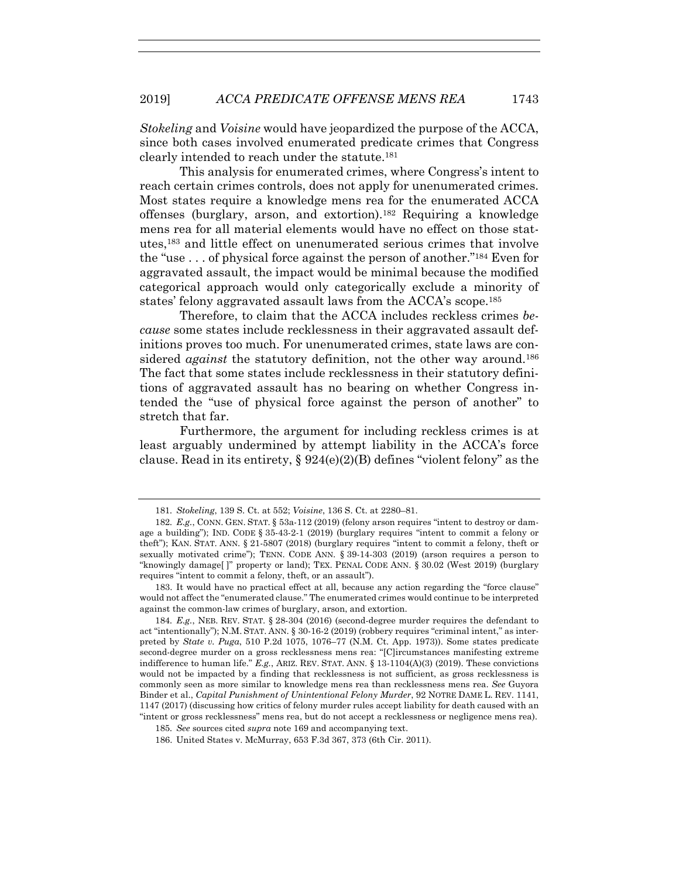*Stokeling* and *Voisine* would have jeopardized the purpose of the ACCA, since both cases involved enumerated predicate crimes that Congress clearly intended to reach under the statute.181

This analysis for enumerated crimes, where Congress's intent to reach certain crimes controls, does not apply for unenumerated crimes. Most states require a knowledge mens rea for the enumerated ACCA offenses (burglary, arson, and extortion).182 Requiring a knowledge mens rea for all material elements would have no effect on those statutes,183 and little effect on unenumerated serious crimes that involve the "use  $\dots$  of physical force against the person of another."<sup>184</sup> Even for aggravated assault, the impact would be minimal because the modified categorical approach would only categorically exclude a minority of states' felony aggravated assault laws from the ACCA's scope.185

Therefore, to claim that the ACCA includes reckless crimes *because* some states include recklessness in their aggravated assault definitions proves too much. For unenumerated crimes, state laws are considered *against* the statutory definition, not the other way around.<sup>186</sup> The fact that some states include recklessness in their statutory definitions of aggravated assault has no bearing on whether Congress intended the "use of physical force against the person of another" to stretch that far.

Furthermore, the argument for including reckless crimes is at least arguably undermined by attempt liability in the ACCA's force clause. Read in its entirety,  $\S 924(e)(2)(B)$  defines "violent felony" as the

<sup>181</sup>*. Stokeling*, 139 S. Ct. at 552; *Voisine*, 136 S. Ct. at 2280–81.

<sup>182</sup>*. E.g.*, CONN. GEN. STAT. § 53a-112 (2019) (felony arson requires "intent to destroy or damage a building"); IND. CODE § 35-43-2-1 (2019) (burglary requires "intent to commit a felony or theft"); KAN. STAT. ANN. § 21-5807 (2018) (burglary requires "intent to commit a felony, theft or sexually motivated crime"); TENN. CODE ANN. § 39-14-303 (2019) (arson requires a person to "knowingly damage[ ]" property or land); TEX. PENAL CODE ANN. § 30.02 (West 2019) (burglary requires "intent to commit a felony, theft, or an assault").

 <sup>183.</sup> It would have no practical effect at all, because any action regarding the "force clause" would not affect the "enumerated clause." The enumerated crimes would continue to be interpreted against the common-law crimes of burglary, arson, and extortion.

<sup>184</sup>*. E.g.*, NEB. REV. STAT. § 28-304 (2016) (second-degree murder requires the defendant to act "intentionally"); N.M. STAT. ANN. § 30-16-2 (2019) (robbery requires "criminal intent," as interpreted by *State v. Puga*, 510 P.2d 1075, 1076–77 (N.M. Ct. App. 1973)). Some states predicate second-degree murder on a gross recklessness mens rea: "[C]ircumstances manifesting extreme indifference to human life." *E.g.*, ARIZ. REV. STAT. ANN. § 13-1104(A)(3) (2019). These convictions would not be impacted by a finding that recklessness is not sufficient, as gross recklessness is commonly seen as more similar to knowledge mens rea than recklessness mens rea. *See* Guyora Binder et al., *Capital Punishment of Unintentional Felony Murder*, 92 NOTRE DAME L. REV. 1141, 1147 (2017) (discussing how critics of felony murder rules accept liability for death caused with an "intent or gross recklessness" mens rea, but do not accept a recklessness or negligence mens rea).

<sup>185</sup>*. See* sources cited *supra* note 169 and accompanying text.

 <sup>186.</sup> United States v. McMurray, 653 F.3d 367, 373 (6th Cir. 2011).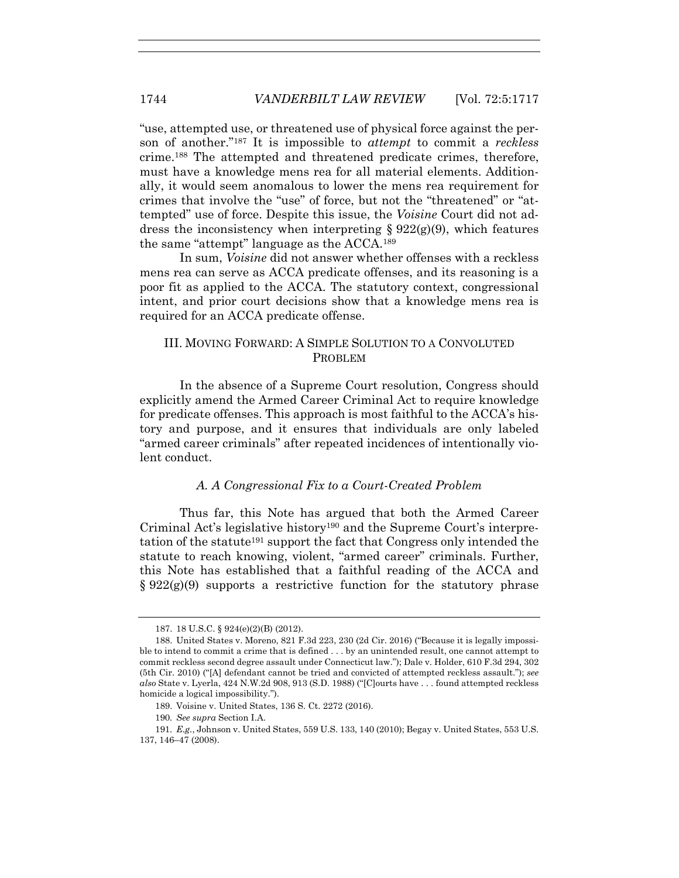"use, attempted use, or threatened use of physical force against the person of another."187 It is impossible to *attempt* to commit a *reckless* crime.188 The attempted and threatened predicate crimes, therefore, must have a knowledge mens rea for all material elements. Additionally, it would seem anomalous to lower the mens rea requirement for crimes that involve the "use" of force, but not the "threatened" or "attempted" use of force. Despite this issue, the *Voisine* Court did not address the inconsistency when interpreting  $\S 922(g)(9)$ , which features the same "attempt" language as the ACCA.189

In sum, *Voisine* did not answer whether offenses with a reckless mens rea can serve as ACCA predicate offenses, and its reasoning is a poor fit as applied to the ACCA. The statutory context, congressional intent, and prior court decisions show that a knowledge mens rea is required for an ACCA predicate offense.

## III. MOVING FORWARD: A SIMPLE SOLUTION TO A CONVOLUTED PROBLEM

In the absence of a Supreme Court resolution, Congress should explicitly amend the Armed Career Criminal Act to require knowledge for predicate offenses. This approach is most faithful to the ACCA's history and purpose, and it ensures that individuals are only labeled "armed career criminals" after repeated incidences of intentionally violent conduct.

# *A. A Congressional Fix to a Court-Created Problem*

Thus far, this Note has argued that both the Armed Career Criminal Act's legislative history190 and the Supreme Court's interpretation of the statute<sup>191</sup> support the fact that Congress only intended the statute to reach knowing, violent, "armed career" criminals. Further, this Note has established that a faithful reading of the ACCA and  $\S 922(g)(9)$  supports a restrictive function for the statutory phrase

 <sup>187. 18</sup> U.S.C. § 924(e)(2)(B) (2012).

 <sup>188.</sup> United States v. Moreno, 821 F.3d 223, 230 (2d Cir. 2016) ("Because it is legally impossible to intend to commit a crime that is defined . . . by an unintended result, one cannot attempt to commit reckless second degree assault under Connecticut law."); Dale v. Holder, 610 F.3d 294, 302 (5th Cir. 2010) ("[A] defendant cannot be tried and convicted of attempted reckless assault."); *see also* State v. Lyerla, 424 N.W.2d 908, 913 (S.D. 1988) ("[C]ourts have . . . found attempted reckless homicide a logical impossibility.").

 <sup>189.</sup> Voisine v. United States, 136 S. Ct. 2272 (2016).

<sup>190</sup>*. See supra* Section I.A.

<sup>191</sup>*. E.g.*, Johnson v. United States, 559 U.S. 133, 140 (2010); Begay v. United States, 553 U.S. 137, 146–47 (2008).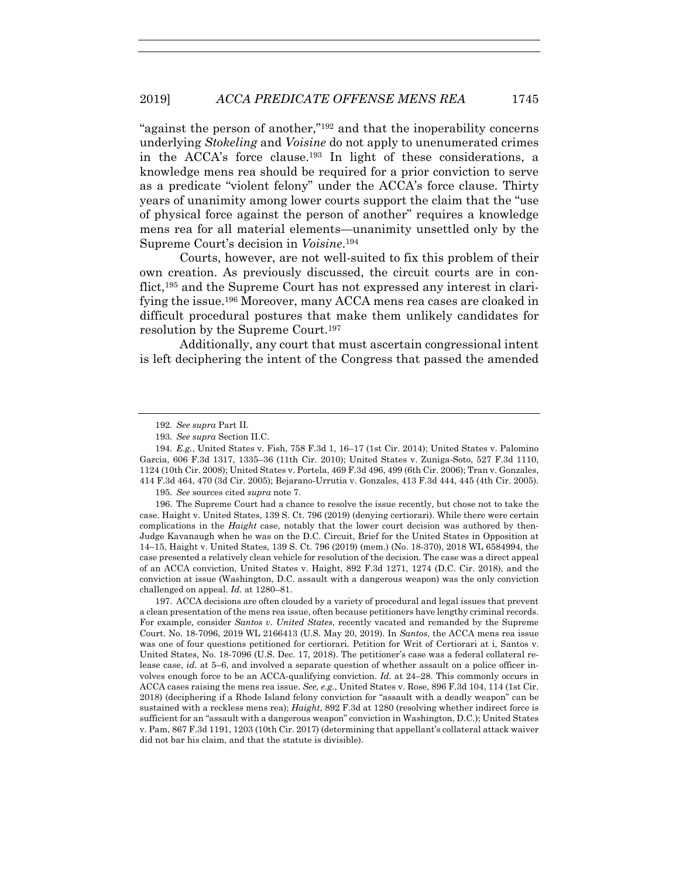"against the person of another,"192 and that the inoperability concerns underlying *Stokeling* and *Voisine* do not apply to unenumerated crimes in the ACCA's force clause.193 In light of these considerations, a knowledge mens rea should be required for a prior conviction to serve as a predicate "violent felony" under the ACCA's force clause. Thirty years of unanimity among lower courts support the claim that the "use of physical force against the person of another" requires a knowledge mens rea for all material elements—unanimity unsettled only by the Supreme Court's decision in *Voisine*.194

Courts, however, are not well-suited to fix this problem of their own creation. As previously discussed, the circuit courts are in conflict,195 and the Supreme Court has not expressed any interest in clarifying the issue.196 Moreover, many ACCA mens rea cases are cloaked in difficult procedural postures that make them unlikely candidates for resolution by the Supreme Court.197

Additionally, any court that must ascertain congressional intent is left deciphering the intent of the Congress that passed the amended

195*. See* sources cited *supra* note 7.

 196. The Supreme Court had a chance to resolve the issue recently, but chose not to take the case. Haight v. United States, 139 S. Ct. 796 (2019) (denying certiorari). While there were certain complications in the *Haight* case, notably that the lower court decision was authored by then-Judge Kavanaugh when he was on the D.C. Circuit, Brief for the United States in Opposition at 14–15, Haight v. United States, 139 S. Ct. 796 (2019) (mem.) (No. 18-370), 2018 WL 6584994, the case presented a relatively clean vehicle for resolution of the decision. The case was a direct appeal of an ACCA conviction, United States v. Haight, 892 F.3d 1271, 1274 (D.C. Cir. 2018), and the conviction at issue (Washington, D.C. assault with a dangerous weapon) was the only conviction challenged on appeal. *Id.* at 1280–81.

 197. ACCA decisions are often clouded by a variety of procedural and legal issues that prevent a clean presentation of the mens rea issue, often because petitioners have lengthy criminal records. For example, consider *Santos v. United States*, recently vacated and remanded by the Supreme Court. No. 18-7096, 2019 WL 2166413 (U.S. May 20, 2019). In *Santos*, the ACCA mens rea issue was one of four questions petitioned for certiorari. Petition for Writ of Certiorari at i, Santos v. United States, No. 18-7096 (U.S. Dec. 17, 2018). The petitioner's case was a federal collateral release case, *id.* at 5–6, and involved a separate question of whether assault on a police officer involves enough force to be an ACCA-qualifying conviction. *Id.* at 24–28. This commonly occurs in ACCA cases raising the mens rea issue. *See, e.g.*, United States v. Rose, 896 F.3d 104, 114 (1st Cir. 2018) (deciphering if a Rhode Island felony conviction for "assault with a deadly weapon" can be sustained with a reckless mens rea); *Haight*, 892 F.3d at 1280 (resolving whether indirect force is sufficient for an "assault with a dangerous weapon" conviction in Washington, D.C.); United States v. Pam, 867 F.3d 1191, 1203 (10th Cir. 2017) (determining that appellant's collateral attack waiver did not bar his claim, and that the statute is divisible).

<sup>192</sup>*. See supra* Part II.

<sup>193</sup>*. See supra* Section II.C.

<sup>194</sup>*. E.g.*, United States v. Fish, 758 F.3d 1, 16–17 (1st Cir. 2014); United States v. Palomino Garcia, 606 F.3d 1317, 1335–36 (11th Cir. 2010); United States v. Zuniga-Soto, 527 F.3d 1110, 1124 (10th Cir. 2008); United States v. Portela, 469 F.3d 496, 499 (6th Cir. 2006); Tran v. Gonzales, 414 F.3d 464, 470 (3d Cir. 2005); Bejarano-Urrutia v. Gonzales, 413 F.3d 444, 445 (4th Cir. 2005).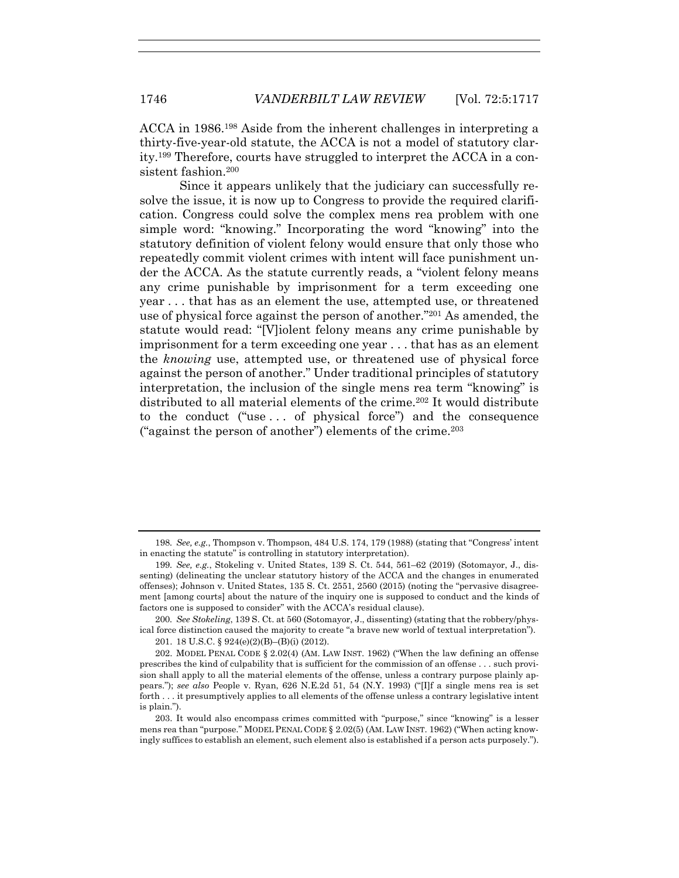ACCA in 1986.198 Aside from the inherent challenges in interpreting a thirty-five-year-old statute, the ACCA is not a model of statutory clarity.199 Therefore, courts have struggled to interpret the ACCA in a consistent fashion.200

Since it appears unlikely that the judiciary can successfully resolve the issue, it is now up to Congress to provide the required clarification. Congress could solve the complex mens rea problem with one simple word: "knowing." Incorporating the word "knowing" into the statutory definition of violent felony would ensure that only those who repeatedly commit violent crimes with intent will face punishment under the ACCA. As the statute currently reads, a "violent felony means any crime punishable by imprisonment for a term exceeding one year . . . that has as an element the use, attempted use, or threatened use of physical force against the person of another."201 As amended, the statute would read: "[V]iolent felony means any crime punishable by imprisonment for a term exceeding one year . . . that has as an element the *knowing* use, attempted use, or threatened use of physical force against the person of another." Under traditional principles of statutory interpretation, the inclusion of the single mens rea term "knowing" is distributed to all material elements of the crime.202 It would distribute to the conduct ("use . . . of physical force") and the consequence ("against the person of another") elements of the crime.<sup>203</sup>

<sup>198</sup>*. See, e.g.*, Thompson v. Thompson, 484 U.S. 174, 179 (1988) (stating that "Congress' intent in enacting the statute" is controlling in statutory interpretation).

<sup>199</sup>*. See, e.g.*, Stokeling v. United States, 139 S. Ct. 544, 561–62 (2019) (Sotomayor, J., dissenting) (delineating the unclear statutory history of the ACCA and the changes in enumerated offenses); Johnson v. United States, 135 S. Ct. 2551, 2560 (2015) (noting the "pervasive disagreement [among courts] about the nature of the inquiry one is supposed to conduct and the kinds of factors one is supposed to consider" with the ACCA's residual clause).

<sup>200</sup>*. See Stokeling*, 139 S. Ct. at 560 (Sotomayor, J., dissenting) (stating that the robbery/physical force distinction caused the majority to create "a brave new world of textual interpretation").

 <sup>201. 18</sup> U.S.C. § 924(e)(2)(B)–(B)(i) (2012).

 <sup>202.</sup> MODEL PENAL CODE § 2.02(4) (AM. LAW INST. 1962) ("When the law defining an offense prescribes the kind of culpability that is sufficient for the commission of an offense . . . such provision shall apply to all the material elements of the offense, unless a contrary purpose plainly appears."); *see also* People v. Ryan, 626 N.E.2d 51, 54 (N.Y. 1993) ("[I]f a single mens rea is set forth . . . it presumptively applies to all elements of the offense unless a contrary legislative intent is plain.").

 <sup>203.</sup> It would also encompass crimes committed with "purpose," since "knowing" is a lesser mens rea than "purpose." MODEL PENAL CODE § 2.02(5) (AM. LAW INST. 1962) ("When acting knowingly suffices to establish an element, such element also is established if a person acts purposely.").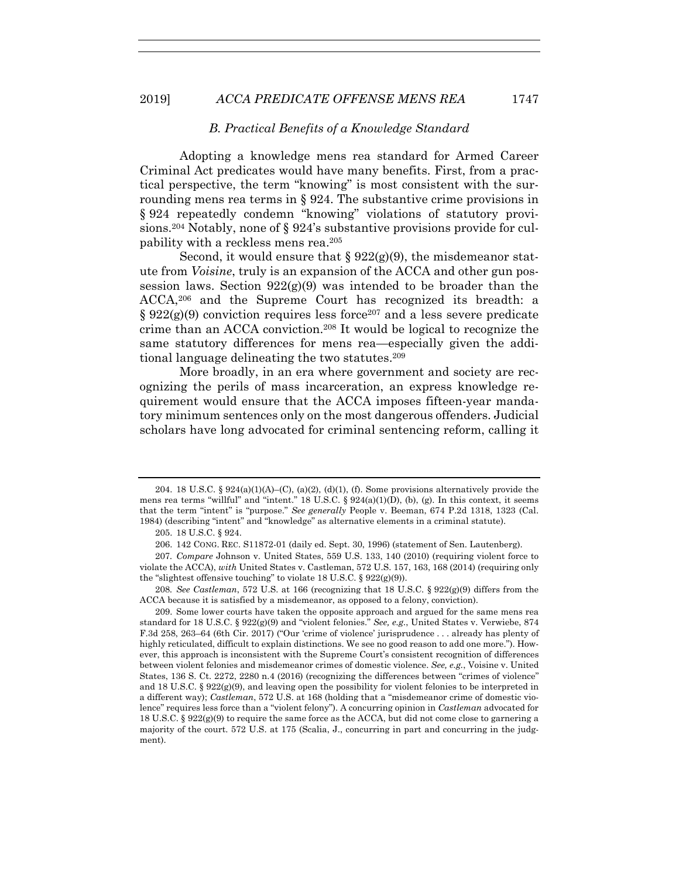#### *B. Practical Benefits of a Knowledge Standard*

Adopting a knowledge mens rea standard for Armed Career Criminal Act predicates would have many benefits. First, from a practical perspective, the term "knowing" is most consistent with the surrounding mens rea terms in § 924. The substantive crime provisions in § 924 repeatedly condemn "knowing" violations of statutory provisions.<sup>204</sup> Notably, none of  $\S 924$ 's substantive provisions provide for culpability with a reckless mens rea.205

Second, it would ensure that  $\S 922(g)(9)$ , the misdemeanor statute from *Voisine*, truly is an expansion of the ACCA and other gun possession laws. Section  $922(g)(9)$  was intended to be broader than the ACCA,206 and the Supreme Court has recognized its breadth: a  $§ 922(g)(9)$  conviction requires less force<sup>207</sup> and a less severe predicate crime than an ACCA conviction.208 It would be logical to recognize the same statutory differences for mens rea—especially given the additional language delineating the two statutes.209

More broadly, in an era where government and society are recognizing the perils of mass incarceration, an express knowledge requirement would ensure that the ACCA imposes fifteen-year mandatory minimum sentences only on the most dangerous offenders. Judicial scholars have long advocated for criminal sentencing reform, calling it

<sup>204. 18</sup> U.S.C. §  $924(a)(1)(A)$ –(C),  $(a)(2)$ ,  $(d)(1)$ ,  $(f)$ . Some provisions alternatively provide the mens rea terms "willful" and "intent." 18 U.S.C.  $\S 924(a)(1)(D)$ , (b), (g). In this context, it seems that the term "intent" is "purpose." *See generally* People v. Beeman, 674 P.2d 1318, 1323 (Cal. 1984) (describing "intent" and "knowledge" as alternative elements in a criminal statute).

 <sup>205. 18</sup> U.S.C. § 924.

 <sup>206. 142</sup> CONG. REC. S11872-01 (daily ed. Sept. 30, 1996) (statement of Sen. Lautenberg).

<sup>207</sup>*. Compare* Johnson v. United States, 559 U.S. 133, 140 (2010) (requiring violent force to violate the ACCA), *with* United States v. Castleman, 572 U.S. 157, 163, 168 (2014) (requiring only the "slightest offensive touching" to violate 18 U.S.C.  $\S 922(g)(9)$ .

<sup>208</sup>*. See Castleman*, 572 U.S. at 166 (recognizing that 18 U.S.C. § 922(g)(9) differs from the ACCA because it is satisfied by a misdemeanor, as opposed to a felony, conviction).

 <sup>209.</sup> Some lower courts have taken the opposite approach and argued for the same mens rea standard for 18 U.S.C. § 922(g)(9) and "violent felonies." *See, e.g.*, United States v. Verwiebe, 874 F.3d 258, 263–64 (6th Cir. 2017) ("Our 'crime of violence' jurisprudence . . . already has plenty of highly reticulated, difficult to explain distinctions. We see no good reason to add one more."). However, this approach is inconsistent with the Supreme Court's consistent recognition of differences between violent felonies and misdemeanor crimes of domestic violence. *See, e.g.*, Voisine v. United States, 136 S. Ct. 2272, 2280 n.4 (2016) (recognizing the differences between "crimes of violence" and 18 U.S.C. §  $922(g)(9)$ , and leaving open the possibility for violent felonies to be interpreted in a different way); *Castleman*, 572 U.S. at 168 (holding that a "misdemeanor crime of domestic violence" requires less force than a "violent felony"). A concurring opinion in *Castleman* advocated for 18 U.S.C. § 922(g)(9) to require the same force as the ACCA, but did not come close to garnering a majority of the court. 572 U.S. at 175 (Scalia, J., concurring in part and concurring in the judgment).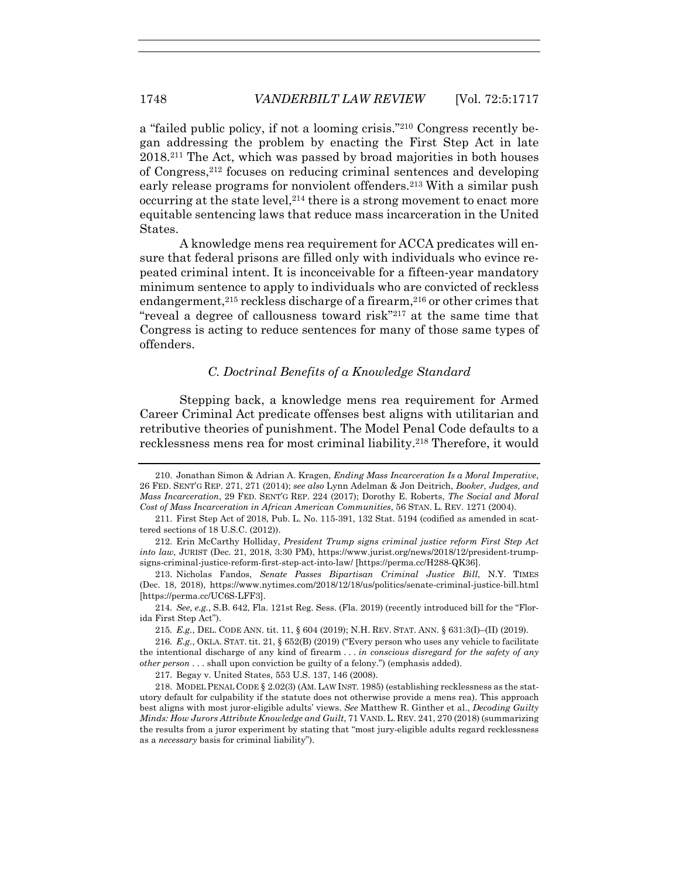a "failed public policy, if not a looming crisis."210 Congress recently began addressing the problem by enacting the First Step Act in late 2018.211 The Act, which was passed by broad majorities in both houses of Congress,212 focuses on reducing criminal sentences and developing early release programs for nonviolent offenders.213 With a similar push occurring at the state level,<sup>214</sup> there is a strong movement to enact more equitable sentencing laws that reduce mass incarceration in the United States.

A knowledge mens rea requirement for ACCA predicates will ensure that federal prisons are filled only with individuals who evince repeated criminal intent. It is inconceivable for a fifteen-year mandatory minimum sentence to apply to individuals who are convicted of reckless endangerment,<sup>215</sup> reckless discharge of a firearm,<sup>216</sup> or other crimes that "reveal a degree of callousness toward risk"217 at the same time that Congress is acting to reduce sentences for many of those same types of offenders.

## *C. Doctrinal Benefits of a Knowledge Standard*

Stepping back, a knowledge mens rea requirement for Armed Career Criminal Act predicate offenses best aligns with utilitarian and retributive theories of punishment. The Model Penal Code defaults to a recklessness mens rea for most criminal liability.218 Therefore, it would

217. Begay v. United States, 553 U.S. 137, 146 (2008).

 <sup>210.</sup> Jonathan Simon & Adrian A. Kragen, *Ending Mass Incarceration Is a Moral Imperative*, 26 FED. SENT'G REP. 271, 271 (2014); *see also* Lynn Adelman & Jon Deitrich, *Booker, Judges, and Mass Incarceration*, 29 FED. SENT'G REP. 224 (2017); Dorothy E. Roberts, *The Social and Moral Cost of Mass Incarceration in African American Communities*, 56 STAN. L. REV. 1271 (2004).

 <sup>211.</sup> First Step Act of 2018, Pub. L. No. 115-391, 132 Stat. 5194 (codified as amended in scattered sections of 18 U.S.C. (2012)).

 <sup>212.</sup> Erin McCarthy Holliday, *President Trump signs criminal justice reform First Step Act into law*, JURIST (Dec. 21, 2018, 3:30 PM), https://www.jurist.org/news/2018/12/president-trumpsigns-criminal-justice-reform-first-step-act-into-law/ [https://perma.cc/H288-QK36].

 <sup>213.</sup> Nicholas Fandos, *Senate Passes Bipartisan Criminal Justice Bill*, N.Y. TIMES (Dec. 18, 2018), https://www.nytimes.com/2018/12/18/us/politics/senate-criminal-justice-bill.html [https://perma.cc/UC6S-LFF3].

<sup>214</sup>*. See, e.g.*, S.B. 642, Fla. 121st Reg. Sess. (Fla. 2019) (recently introduced bill for the "Florida First Step Act").

<sup>215</sup>*. E.g.*, DEL. CODE ANN. tit. 11, § 604 (2019); N.H. REV. STAT. ANN. § 631:3(I)–(II) (2019).

<sup>216</sup>*. E.g.*, OKLA. STAT. tit. 21, § 652(B) (2019) ("Every person who uses any vehicle to facilitate the intentional discharge of any kind of firearm . . . *in conscious disregard for the safety of any other person* . . . shall upon conviction be guilty of a felony.") (emphasis added).

 <sup>218.</sup> MODEL PENAL CODE § 2.02(3) (AM. LAW INST. 1985) (establishing recklessness as the statutory default for culpability if the statute does not otherwise provide a mens rea). This approach best aligns with most juror-eligible adults' views. *See* Matthew R. Ginther et al., *Decoding Guilty Minds: How Jurors Attribute Knowledge and Guilt*, 71 VAND. L. REV. 241, 270 (2018) (summarizing the results from a juror experiment by stating that "most jury-eligible adults regard recklessness as a *necessary* basis for criminal liability").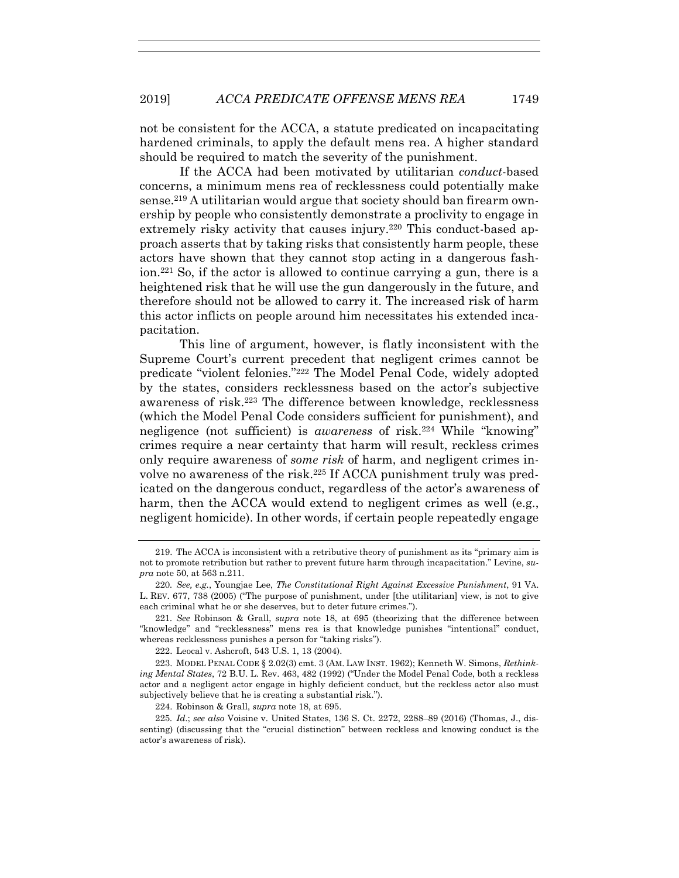not be consistent for the ACCA, a statute predicated on incapacitating hardened criminals, to apply the default mens rea. A higher standard should be required to match the severity of the punishment.

If the ACCA had been motivated by utilitarian *conduct*-based concerns, a minimum mens rea of recklessness could potentially make sense.219 A utilitarian would argue that society should ban firearm ownership by people who consistently demonstrate a proclivity to engage in extremely risky activity that causes injury.<sup>220</sup> This conduct-based approach asserts that by taking risks that consistently harm people, these actors have shown that they cannot stop acting in a dangerous fashion.221 So, if the actor is allowed to continue carrying a gun, there is a heightened risk that he will use the gun dangerously in the future, and therefore should not be allowed to carry it. The increased risk of harm this actor inflicts on people around him necessitates his extended incapacitation.

This line of argument, however, is flatly inconsistent with the Supreme Court's current precedent that negligent crimes cannot be predicate "violent felonies."222 The Model Penal Code, widely adopted by the states, considers recklessness based on the actor's subjective awareness of risk.223 The difference between knowledge, recklessness (which the Model Penal Code considers sufficient for punishment), and negligence (not sufficient) is *awareness* of risk.224 While "knowing" crimes require a near certainty that harm will result, reckless crimes only require awareness of *some risk* of harm, and negligent crimes involve no awareness of the risk.<sup>225</sup> If ACCA punishment truly was predicated on the dangerous conduct, regardless of the actor's awareness of harm, then the ACCA would extend to negligent crimes as well (e.g., negligent homicide). In other words, if certain people repeatedly engage

 <sup>219.</sup> The ACCA is inconsistent with a retributive theory of punishment as its "primary aim is not to promote retribution but rather to prevent future harm through incapacitation." Levine, *supra* note 50, at 563 n.211.

<sup>220</sup>*. See, e.g.*, Youngjae Lee, *The Constitutional Right Against Excessive Punishment*, 91 VA. L. REV. 677, 738 (2005) ("The purpose of punishment, under [the utilitarian] view, is not to give each criminal what he or she deserves, but to deter future crimes.").

<sup>221</sup>*. See* Robinson & Grall, *supra* note 18, at 695 (theorizing that the difference between "knowledge" and "recklessness" mens rea is that knowledge punishes "intentional" conduct, whereas recklessness punishes a person for "taking risks").

 <sup>222.</sup> Leocal v. Ashcroft, 543 U.S. 1, 13 (2004).

 <sup>223.</sup> MODEL PENAL CODE § 2.02(3) cmt. 3 (AM. LAW INST. 1962); Kenneth W. Simons, *Rethinking Mental States*, 72 B.U. L. Rev. 463, 482 (1992) ("Under the Model Penal Code, both a reckless actor and a negligent actor engage in highly deficient conduct, but the reckless actor also must subjectively believe that he is creating a substantial risk.").

 <sup>224.</sup> Robinson & Grall, *supra* note 18, at 695.

<sup>225</sup>*. Id*.; *see also* Voisine v. United States, 136 S. Ct. 2272, 2288–89 (2016) (Thomas, J., dissenting) (discussing that the "crucial distinction" between reckless and knowing conduct is the actor's awareness of risk).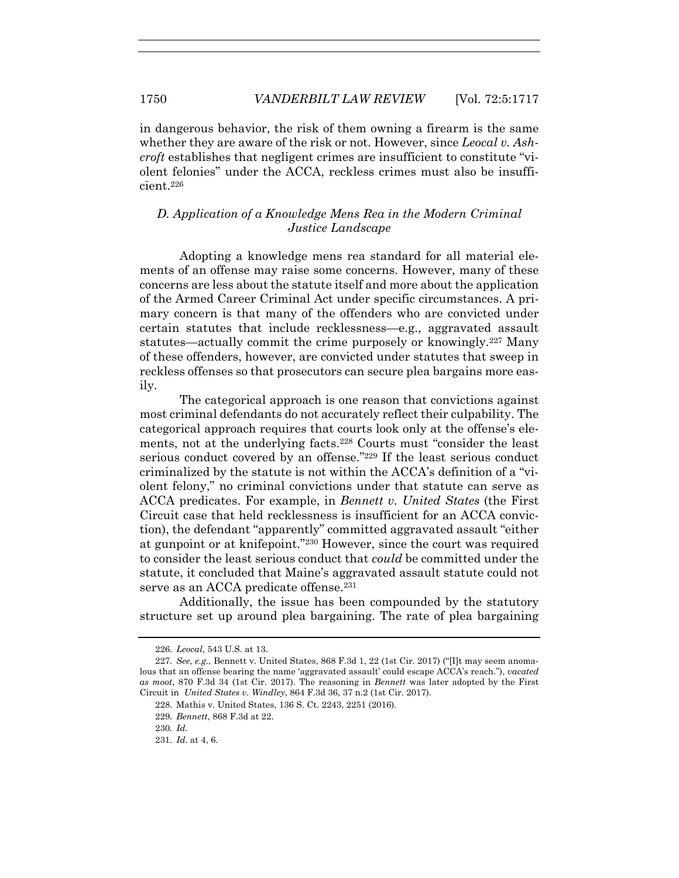in dangerous behavior, the risk of them owning a firearm is the same whether they are aware of the risk or not. However, since *Leocal v. Ashcroft* establishes that negligent crimes are insufficient to constitute "violent felonies" under the ACCA, reckless crimes must also be insufficient.226

# *D. Application of a Knowledge Mens Rea in the Modern Criminal Justice Landscape*

Adopting a knowledge mens rea standard for all material elements of an offense may raise some concerns. However, many of these concerns are less about the statute itself and more about the application of the Armed Career Criminal Act under specific circumstances. A primary concern is that many of the offenders who are convicted under certain statutes that include recklessness—e.g., aggravated assault statutes—actually commit the crime purposely or knowingly.227 Many of these offenders, however, are convicted under statutes that sweep in reckless offenses so that prosecutors can secure plea bargains more easily.

The categorical approach is one reason that convictions against most criminal defendants do not accurately reflect their culpability. The categorical approach requires that courts look only at the offense's elements, not at the underlying facts.228 Courts must "consider the least serious conduct covered by an offense."229 If the least serious conduct criminalized by the statute is not within the ACCA's definition of a "violent felony," no criminal convictions under that statute can serve as ACCA predicates. For example, in *Bennett v. United States* (the First Circuit case that held recklessness is insufficient for an ACCA conviction), the defendant "apparently" committed aggravated assault "either at gunpoint or at knifepoint."230 However, since the court was required to consider the least serious conduct that *could* be committed under the statute, it concluded that Maine's aggravated assault statute could not serve as an ACCA predicate offense.<sup>231</sup>

Additionally, the issue has been compounded by the statutory structure set up around plea bargaining. The rate of plea bargaining

<sup>226</sup>*. Leocal*, 543 U.S. at 13.

<sup>227</sup>*. See, e.g.*, Bennett v. United States, 868 F.3d 1, 22 (1st Cir. 2017) ("[I]t may seem anomalous that an offense bearing the name 'aggravated assault' could escape ACCA's reach."), *vacated as moot*, 870 F.3d 34 (1st Cir. 2017). The reasoning in *Bennett* was later adopted by the First Circuit in *United States v. Windley*, 864 F.3d 36, 37 n.2 (1st Cir. 2017).

 <sup>228.</sup> Mathis v. United States, 136 S. Ct. 2243, 2251 (2016).

<sup>229</sup>*. Bennett*, 868 F.3d at 22.

<sup>230</sup>*. Id.*

<sup>231</sup>*. Id.* at 4, 6.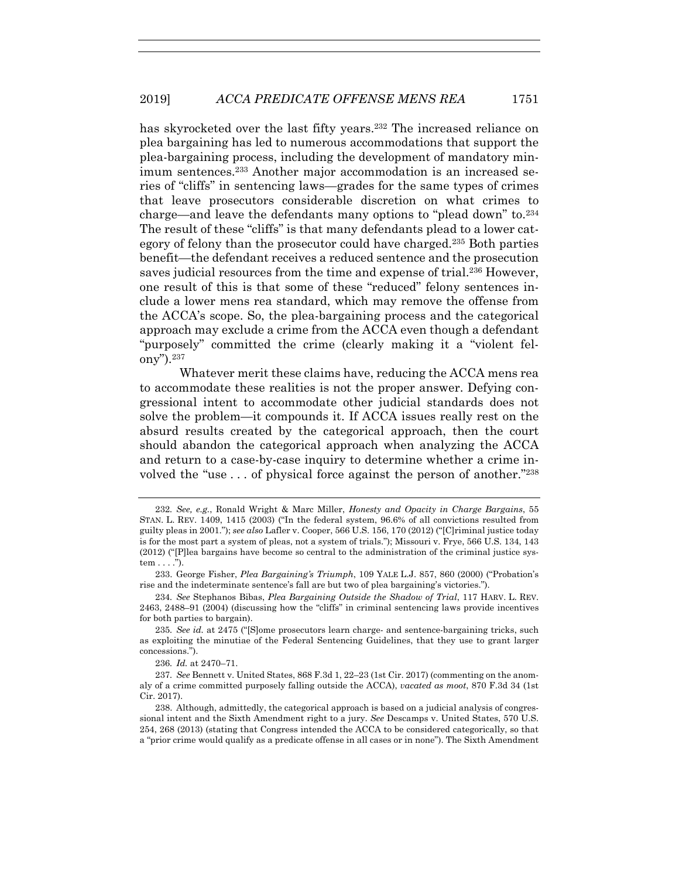has skyrocketed over the last fifty years.232 The increased reliance on plea bargaining has led to numerous accommodations that support the plea-bargaining process, including the development of mandatory minimum sentences.233 Another major accommodation is an increased series of "cliffs" in sentencing laws—grades for the same types of crimes that leave prosecutors considerable discretion on what crimes to charge—and leave the defendants many options to "plead down" to.234 The result of these "cliffs" is that many defendants plead to a lower category of felony than the prosecutor could have charged.235 Both parties benefit—the defendant receives a reduced sentence and the prosecution saves judicial resources from the time and expense of trial.<sup>236</sup> However, one result of this is that some of these "reduced" felony sentences include a lower mens rea standard, which may remove the offense from the ACCA's scope. So, the plea-bargaining process and the categorical approach may exclude a crime from the ACCA even though a defendant "purposely" committed the crime (clearly making it a "violent felony").237

Whatever merit these claims have, reducing the ACCA mens rea to accommodate these realities is not the proper answer. Defying congressional intent to accommodate other judicial standards does not solve the problem—it compounds it. If ACCA issues really rest on the absurd results created by the categorical approach, then the court should abandon the categorical approach when analyzing the ACCA and return to a case-by-case inquiry to determine whether a crime involved the "use  $\dots$  of physical force against the person of another."<sup>238</sup>

<sup>232</sup>*. See, e.g.*, Ronald Wright & Marc Miller, *Honesty and Opacity in Charge Bargains*, 55 STAN. L. REV. 1409, 1415 (2003) ("In the federal system, 96.6% of all convictions resulted from guilty pleas in 2001."); *see also* Lafler v. Cooper, 566 U.S. 156, 170 (2012) ("[C]riminal justice today is for the most part a system of pleas, not a system of trials."); Missouri v. Frye, 566 U.S. 134, 143 (2012) ("[P]lea bargains have become so central to the administration of the criminal justice system . . . .").

 <sup>233.</sup> George Fisher, *Plea Bargaining's Triumph*, 109 YALE L.J. 857, 860 (2000) ("Probation's rise and the indeterminate sentence's fall are but two of plea bargaining's victories.").

<sup>234</sup>*. See* Stephanos Bibas, *Plea Bargaining Outside the Shadow of Trial*, 117 HARV. L. REV. 2463, 2488–91 (2004) (discussing how the "cliffs" in criminal sentencing laws provide incentives for both parties to bargain).

<sup>235</sup>*. See id.* at 2475 ("[S]ome prosecutors learn charge- and sentence-bargaining tricks, such as exploiting the minutiae of the Federal Sentencing Guidelines, that they use to grant larger concessions.").

<sup>236</sup>*. Id.* at 2470–71.

<sup>237</sup>*. See* Bennett v. United States, 868 F.3d 1, 22–23 (1st Cir. 2017) (commenting on the anomaly of a crime committed purposely falling outside the ACCA), *vacated as moot*, 870 F.3d 34 (1st Cir. 2017).

 <sup>238.</sup> Although, admittedly, the categorical approach is based on a judicial analysis of congressional intent and the Sixth Amendment right to a jury. *See* Descamps v. United States, 570 U.S. 254, 268 (2013) (stating that Congress intended the ACCA to be considered categorically, so that a "prior crime would qualify as a predicate offense in all cases or in none"). The Sixth Amendment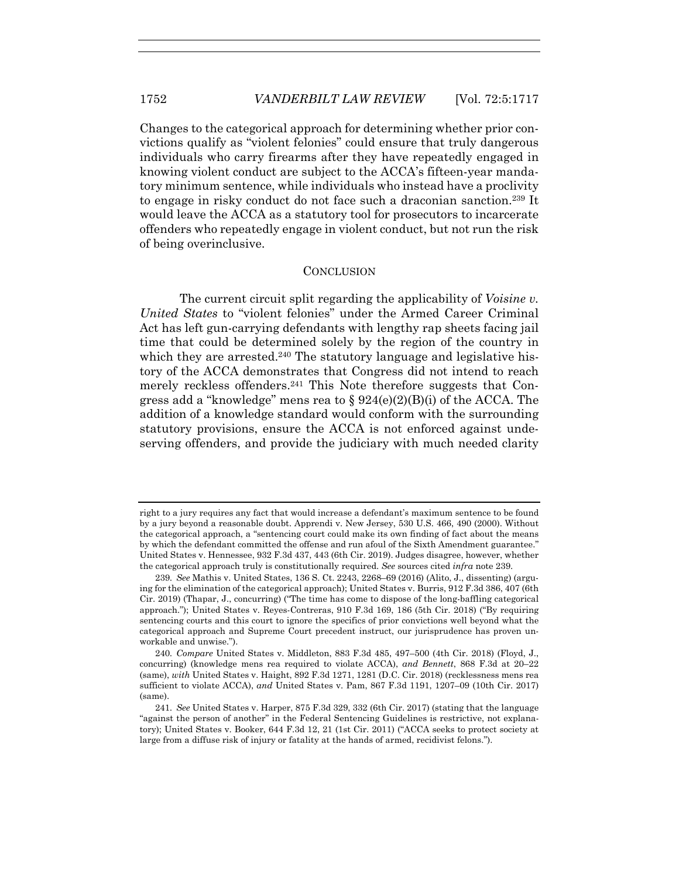Changes to the categorical approach for determining whether prior convictions qualify as "violent felonies" could ensure that truly dangerous individuals who carry firearms after they have repeatedly engaged in knowing violent conduct are subject to the ACCA's fifteen-year mandatory minimum sentence, while individuals who instead have a proclivity to engage in risky conduct do not face such a draconian sanction.239 It would leave the ACCA as a statutory tool for prosecutors to incarcerate offenders who repeatedly engage in violent conduct, but not run the risk of being overinclusive.

#### **CONCLUSION**

The current circuit split regarding the applicability of *Voisine v. United States* to "violent felonies" under the Armed Career Criminal Act has left gun-carrying defendants with lengthy rap sheets facing jail time that could be determined solely by the region of the country in which they are arrested.<sup>240</sup> The statutory language and legislative history of the ACCA demonstrates that Congress did not intend to reach merely reckless offenders.<sup>241</sup> This Note therefore suggests that Congress add a "knowledge" mens rea to  $\S 924(e)(2)(B)(i)$  of the ACCA. The addition of a knowledge standard would conform with the surrounding statutory provisions, ensure the ACCA is not enforced against undeserving offenders, and provide the judiciary with much needed clarity

right to a jury requires any fact that would increase a defendant's maximum sentence to be found by a jury beyond a reasonable doubt. Apprendi v. New Jersey, 530 U.S. 466, 490 (2000). Without the categorical approach, a "sentencing court could make its own finding of fact about the means by which the defendant committed the offense and run afoul of the Sixth Amendment guarantee." United States v. Hennessee, 932 F.3d 437, 443 (6th Cir. 2019). Judges disagree, however, whether the categorical approach truly is constitutionally required. *See* sources cited *infra* note 239.

<sup>239</sup>*. See* Mathis v. United States, 136 S. Ct. 2243, 2268–69 (2016) (Alito, J., dissenting) (arguing for the elimination of the categorical approach); United States v. Burris, 912 F.3d 386, 407 (6th Cir. 2019) (Thapar, J., concurring) ("The time has come to dispose of the long-baffling categorical approach."); United States v. Reyes-Contreras, 910 F.3d 169, 186 (5th Cir. 2018) ("By requiring sentencing courts and this court to ignore the specifics of prior convictions well beyond what the categorical approach and Supreme Court precedent instruct, our jurisprudence has proven unworkable and unwise.").

<sup>240</sup>*. Compare* United States v. Middleton, 883 F.3d 485, 497–500 (4th Cir. 2018) (Floyd, J., concurring) (knowledge mens rea required to violate ACCA), *and Bennett*, 868 F.3d at 20–22 (same), *with* United States v. Haight, 892 F.3d 1271, 1281 (D.C. Cir. 2018) (recklessness mens rea sufficient to violate ACCA), *and* United States v. Pam, 867 F.3d 1191, 1207–09 (10th Cir. 2017) (same).

<sup>241</sup>*. See* United States v. Harper, 875 F.3d 329, 332 (6th Cir. 2017) (stating that the language "against the person of another" in the Federal Sentencing Guidelines is restrictive, not explanatory); United States v. Booker, 644 F.3d 12, 21 (1st Cir. 2011) ("ACCA seeks to protect society at large from a diffuse risk of injury or fatality at the hands of armed, recidivist felons.").